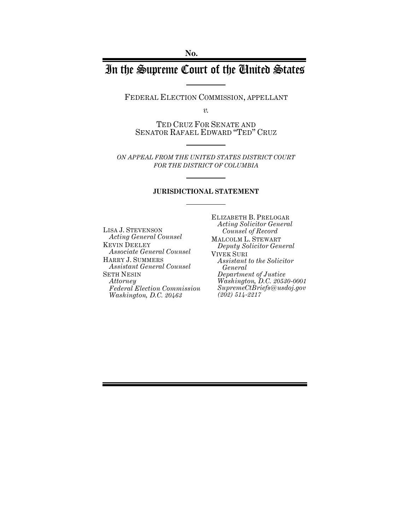# In the Supreme Court of the United States

FEDERAL ELECTION COMMISSION, APPELLANT

*v.*

TED CRUZ FOR SENATE AND SENATOR RAFAEL EDWARD "TED" CRUZ

*ON APPEAL FROM THE UNITED STATES DISTRICT COURT FOR THE DISTRICT OF COLUMBIA*

#### **JURISDICTIONAL STATEMENT**

LISA J. STEVENSON *Acting General Counsel* KEVIN DEELEY *Associate General Counsel*  HARRY J. SUMMERS *Assistant General Counsel* SETH NESIN *Attorney Federal Election Commission Washington, D.C. 20463*

ELIZABETH B. PRELOGAR *Acting Solicitor General Counsel of Record* MALCOLM L. STEWART *Deputy Solicitor General* VIVEK SURI *Assistant to the Solicitor General Department of Justice Washington, D.C. 20530-0001 SupremeCtBriefs@usdoj.gov (202) 514-2217*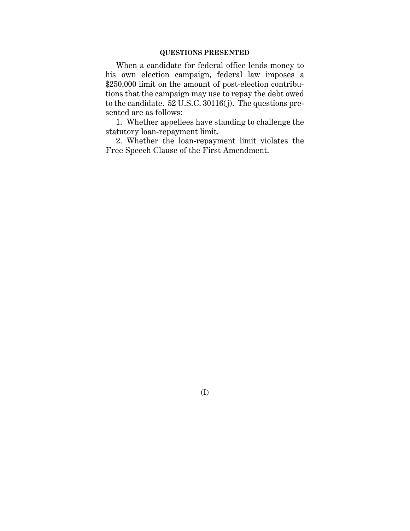# **QUESTIONS PRESENTED**

When a candidate for federal office lends money to his own election campaign, federal law imposes a \$250,000 limit on the amount of post-election contributions that the campaign may use to repay the debt owed to the candidate.  $52 \overline{U}$ .S.C.  $30116(j)$ . The questions presented are as follows:

1. Whether appellees have standing to challenge the statutory loan-repayment limit.

2. Whether the loan-repayment limit violates the Free Speech Clause of the First Amendment.

(I)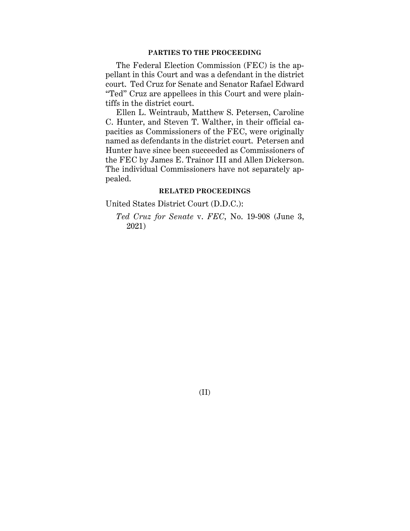# **PARTIES TO THE PROCEEDING**

The Federal Election Commission (FEC) is the appellant in this Court and was a defendant in the district court. Ted Cruz for Senate and Senator Rafael Edward "Ted" Cruz are appellees in this Court and were plaintiffs in the district court.

Ellen L. Weintraub, Matthew S. Petersen, Caroline C. Hunter, and Steven T. Walther, in their official capacities as Commissioners of the FEC, were originally named as defendants in the district court. Petersen and Hunter have since been succeeded as Commissioners of the FEC by James E. Trainor III and Allen Dickerson. The individual Commissioners have not separately appealed.

#### **RELATED PROCEEDINGS**

United States District Court (D.D.C.):

*Ted Cruz for Senate* v. *FEC*, No. 19-908 (June 3, 2021)

(II)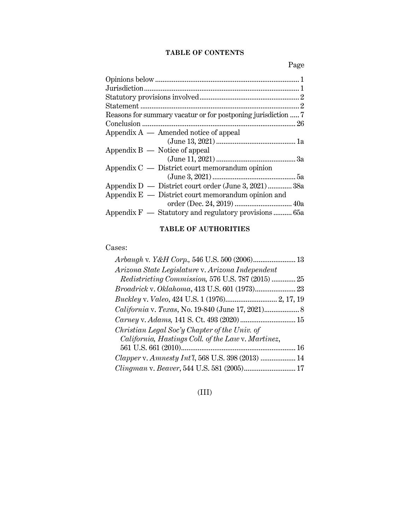# **TABLE OF CONTENTS**

Page

| Reasons for summary vacatur or for postponing jurisdiction  7 |
|---------------------------------------------------------------|
|                                                               |
| Appendix $A$ — Amended notice of appeal                       |
|                                                               |
| Appendix $B -$ Notice of appeal                               |
|                                                               |
| Appendix $C -$ District court memorandum opinion              |
|                                                               |
| Appendix D — District court order (June 3, 2021)  38a         |
| Appendix $E -$ District court memorandum opinion and          |
|                                                               |
| Appendix $F$ — Statutory and regulatory provisions  65a       |
|                                                               |

# **TABLE OF AUTHORITIES**

# Cases:

| Arizona State Legislature v. Arizona Independent   |
|----------------------------------------------------|
| Redistricting Commission, 576 U.S. 787 (2015)  25  |
|                                                    |
|                                                    |
|                                                    |
|                                                    |
| Christian Legal Soc'y Chapter of the Univ. of      |
| California, Hastings Coll. of the Law v. Martinez, |
|                                                    |
| Clapper v. Amnesty Int'l, 568 U.S. 398 (2013)  14  |
| Clingman v. Beaver, 544 U.S. 581 (2005) 17         |

# (III)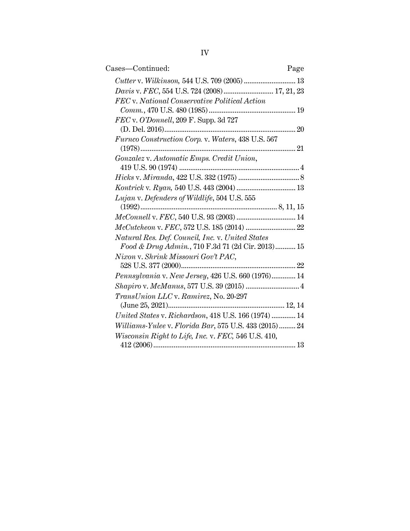| Cases-Continued:                                      | Page |
|-------------------------------------------------------|------|
|                                                       |      |
| Davis v. FEC, 554 U.S. 724 (2008) 17, 21, 23          |      |
| FEC v. National Conservative Political Action         |      |
|                                                       |      |
| FEC v. O'Donnell, 209 F. Supp. 3d 727                 |      |
|                                                       |      |
| Furnco Construction Corp. v. Waters, 438 U.S. 567     |      |
|                                                       |      |
| Gonzalez v. Automatic Emps. Credit Union,             |      |
|                                                       |      |
|                                                       |      |
|                                                       |      |
| Lujan v. Defenders of Wildlife, 504 U.S. 555          |      |
|                                                       |      |
| McConnell v. FEC, 540 U.S. 93 (2003)  14              |      |
|                                                       |      |
| Natural Res. Def. Council, Inc. v. United States      |      |
| Food & Drug Admin., 710 F.3d 71 (2d Cir. 2013) 15     |      |
| Nixon v. Shrink Missouri Gov't PAC,                   |      |
|                                                       |      |
| Pennsylvania v. New Jersey, 426 U.S. 660 (1976) 14    |      |
|                                                       |      |
| TransUnion LLC v. Ramirez, No. 20-297                 |      |
|                                                       |      |
| United States v. Richardson, 418 U.S. 166 (1974)  14  |      |
| Williams-Yulee v. Florida Bar, 575 U.S. 433 (2015) 24 |      |
| Wisconsin Right to Life, Inc. v. FEC, 546 U.S. 410,   |      |
|                                                       |      |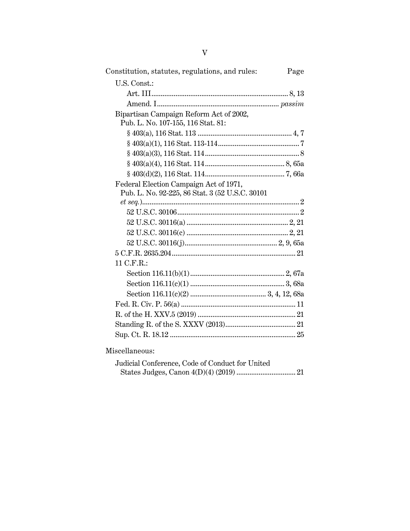| Constitution, statutes, regulations, and rules:  | Page |
|--------------------------------------------------|------|
| U.S. Const.:                                     |      |
|                                                  |      |
|                                                  |      |
| Bipartisan Campaign Reform Act of 2002,          |      |
| Pub. L. No. 107-155, 116 Stat. 81:               |      |
|                                                  |      |
|                                                  |      |
|                                                  |      |
|                                                  |      |
|                                                  |      |
| Federal Election Campaign Act of 1971,           |      |
| Pub. L. No. 92-225, 86 Stat. 3 (52 U.S.C. 30101) |      |
| $et\ seq. )2$                                    |      |
|                                                  |      |
|                                                  |      |
|                                                  |      |
|                                                  |      |
|                                                  |      |
| 11 C.F.R.:                                       |      |
|                                                  |      |
|                                                  |      |
|                                                  |      |
|                                                  |      |
|                                                  |      |
|                                                  |      |
|                                                  |      |
| ת דוד                                            |      |

Miscellaneous:

| Judicial Conference, Code of Conduct for United |  |
|-------------------------------------------------|--|
|                                                 |  |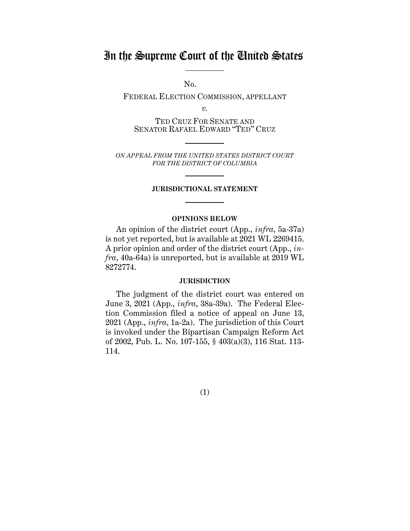# In the Supreme Court of the United States

No.

FEDERAL ELECTION COMMISSION, APPELLANT

*v.*

TED CRUZ FOR SENATE AND SENATOR RAFAEL EDWARD "TED" CRUZ

*ON APPEAL FROM THE UNITED STATES DISTRICT COURT FOR THE DISTRICT OF COLUMBIA*

#### **JURISDICTIONAL STATEMENT**

## **OPINIONS BELOW**

An opinion of the district court (App., *infra*, 5a-37a) is not yet reported, but is available at 2021 WL 2269415. A prior opinion and order of the district court (App., *infra*, 40a-64a) is unreported, but is available at 2019 WL 8272774.

## **JURISDICTION**

The judgment of the district court was entered on June 3, 2021 (App., *infra*, 38a-39a). The Federal Election Commission filed a notice of appeal on June 13, 2021 (App., *infra*, 1a-2a). The jurisdiction of this Court is invoked under the Bipartisan Campaign Reform Act of 2002, Pub. L. No. 107-155, § 403(a)(3), 116 Stat. 113- 114.

(1)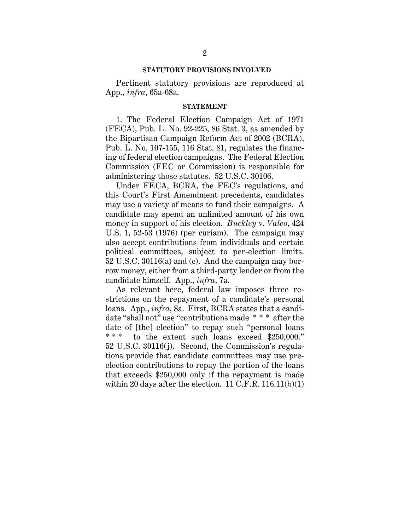#### **STATUTORY PROVISIONS INVOLVED**

Pertinent statutory provisions are reproduced at App., *infra*, 65a-68a.

#### **STATEMENT**

1. The Federal Election Campaign Act of 1971 (FECA), Pub. L. No. 92-225, 86 Stat. 3, as amended by the Bipartisan Campaign Reform Act of 2002 (BCRA), Pub. L. No. 107-155, 116 Stat. 81, regulates the financing of federal election campaigns. The Federal Election Commission (FEC or Commission) is responsible for administering those statutes. 52 U.S.C. 30106.

Under FECA, BCRA, the FEC's regulations, and this Court's First Amendment precedents, candidates may use a variety of means to fund their campaigns. A candidate may spend an unlimited amount of his own money in support of his election. *Buckley* v. *Valeo*, 424 U.S. 1, 52-53 (1976) (per curiam). The campaign may also accept contributions from individuals and certain political committees, subject to per-election limits. 52 U.S.C. 30116(a) and (c). And the campaign may borrow money, either from a third-party lender or from the candidate himself. App., *infra*, 7a.

As relevant here, federal law imposes three restrictions on the repayment of a candidate's personal loans. App., *infra*, 8a. First, BCRA states that a candidate "shall not" use "contributions made \* \* \* after the date of [the] election" to repay such "personal loans \*\*\* to the extent such loans exceed \$250,000." 52 U.S.C. 30116(j). Second, the Commission's regulations provide that candidate committees may use preelection contributions to repay the portion of the loans that exceeds \$250,000 only if the repayment is made within 20 days after the election.  $11$  C.F.R.  $116.11(b)(1)$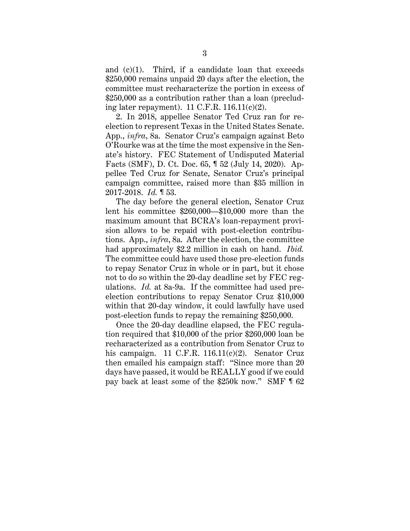and  $(c)(1)$ . Third, if a candidate loan that exceeds \$250,000 remains unpaid 20 days after the election, the committee must recharacterize the portion in excess of \$250,000 as a contribution rather than a loan (precluding later repayment).  $11 \text{ C.F.R. } 116.11(c)(2)$ .

2. In 2018, appellee Senator Ted Cruz ran for reelection to represent Texas in the United States Senate. App., *infra*, 8a. Senator Cruz's campaign against Beto O'Rourke was at the time the most expensive in the Senate's history. FEC Statement of Undisputed Material Facts (SMF), D. Ct. Doc. 65, ¶ 52 (July 14, 2020). Appellee Ted Cruz for Senate, Senator Cruz's principal campaign committee, raised more than \$35 million in 2017-2018. *Id.* ¶ 53.

The day before the general election, Senator Cruz lent his committee \$260,000—\$10,000 more than the maximum amount that BCRA's loan-repayment provision allows to be repaid with post-election contributions. App., *infra*, 8a. After the election, the committee had approximately \$2.2 million in cash on hand. *Ibid.* The committee could have used those pre-election funds to repay Senator Cruz in whole or in part, but it chose not to do so within the 20-day deadline set by FEC regulations. *Id.* at 8a-9a. If the committee had used preelection contributions to repay Senator Cruz \$10,000 within that 20-day window, it could lawfully have used post-election funds to repay the remaining \$250,000.

Once the 20-day deadline elapsed, the FEC regulation required that \$10,000 of the prior \$260,000 loan be recharacterized as a contribution from Senator Cruz to his campaign. 11 C.F.R. 116.11(c)(2). Senator Cruz then emailed his campaign staff: "Since more than 20 days have passed, it would be REALLY good if we could pay back at least some of the \$250k now." SMF ¶ 62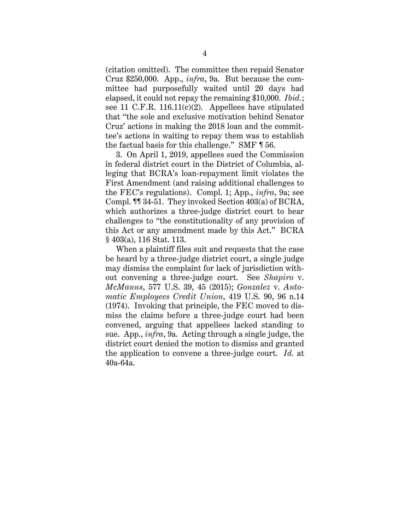(citation omitted). The committee then repaid Senator Cruz \$250,000. App., *infra*, 9a. But because the committee had purposefully waited until 20 days had elapsed, it could not repay the remaining \$10,000. *Ibid.*; see 11 C.F.R. 116.11(c)(2). Appellees have stipulated that "the sole and exclusive motivation behind Senator Cruz' actions in making the 2018 loan and the committee's actions in waiting to repay them was to establish the factual basis for this challenge." SMF ¶ 56.

3. On April 1, 2019, appellees sued the Commission in federal district court in the District of Columbia, alleging that BCRA's loan-repayment limit violates the First Amendment (and raising additional challenges to the FEC's regulations). Compl. 1; App., *infra*, 9a; see Compl. ¶¶ 34-51. They invoked Section 403(a) of BCRA, which authorizes a three-judge district court to hear challenges to "the constitutionality of any provision of this Act or any amendment made by this Act." BCRA § 403(a), 116 Stat. 113.

When a plaintiff files suit and requests that the case be heard by a three-judge district court, a single judge may dismiss the complaint for lack of jurisdiction without convening a three-judge court. See *Shapiro* v. *McManus*, 577 U.S. 39, 45 (2015); *Gonzalez* v. *Automatic Employees Credit Union*, 419 U.S. 90, 96 n.14 (1974). Invoking that principle, the FEC moved to dismiss the claims before a three-judge court had been convened, arguing that appellees lacked standing to sue. App., *infra*, 9a. Acting through a single judge, the district court denied the motion to dismiss and granted the application to convene a three-judge court. *Id.* at 40a-64a.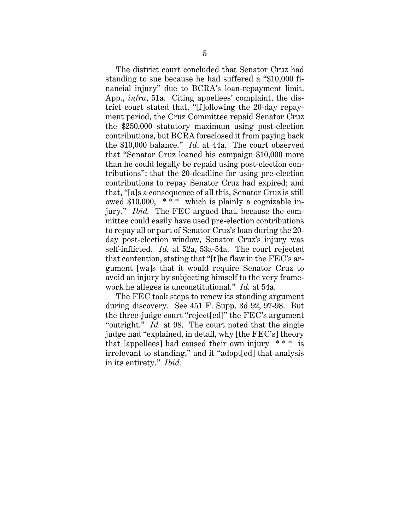The district court concluded that Senator Cruz had standing to sue because he had suffered a "\$10,000 financial injury" due to BCRA's loan-repayment limit. App., *infra*, 51a. Citing appellees' complaint, the district court stated that, "[f]ollowing the 20-day repayment period, the Cruz Committee repaid Senator Cruz the \$250,000 statutory maximum using post-election contributions, but BCRA foreclosed it from paying back the \$10,000 balance." *Id*. at 44a. The court observed that "Senator Cruz loaned his campaign \$10,000 more than he could legally be repaid using post-election contributions"; that the 20-deadline for using pre-election contributions to repay Senator Cruz had expired; and that, "[a]s a consequence of all this, Senator Cruz is still owed \$10,000, \* \* \* which is plainly a cognizable injury." *Ibid.* The FEC argued that, because the committee could easily have used pre-election contributions to repay all or part of Senator Cruz's loan during the 20 day post-election window, Senator Cruz's injury was self-inflicted. *Id.* at 52a, 53a-54a. The court rejected that contention, stating that "[t]he flaw in the FEC's argument [wa]s that it would require Senator Cruz to avoid an injury by subjecting himself to the very framework he alleges is unconstitutional." *Id.* at 54a.

The FEC took steps to renew its standing argument during discovery. See 451 F. Supp. 3d 92, 97-98. But the three-judge court "reject[ed]" the FEC's argument "outright." *Id.* at 98. The court noted that the single judge had "explained, in detail, why [the FEC's] theory that [appellees] had caused their own injury  $***$  is irrelevant to standing," and it "adopt[ed] that analysis in its entirety." *Ibid.*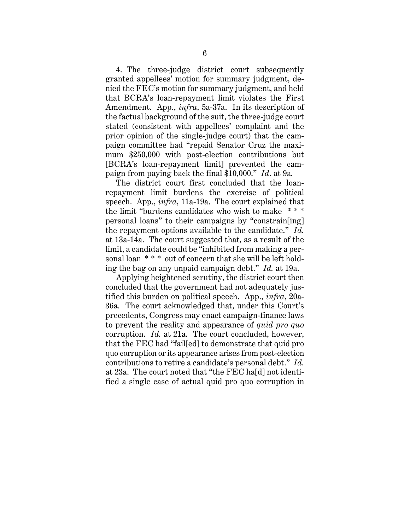4. The three-judge district court subsequently granted appellees' motion for summary judgment, denied the FEC's motion for summary judgment, and held that BCRA's loan-repayment limit violates the First Amendment. App., *infra*, 5a-37a. In its description of the factual background of the suit, the three-judge court stated (consistent with appellees' complaint and the prior opinion of the single-judge court) that the campaign committee had "repaid Senator Cruz the maximum \$250,000 with post-election contributions but [BCRA's loan-repayment limit] prevented the campaign from paying back the final \$10,000." *Id*. at 9a*.*

The district court first concluded that the loanrepayment limit burdens the exercise of political speech. App., *infra*, 11a-19a. The court explained that the limit "burdens candidates who wish to make \* \* \* personal loans" to their campaigns by "constrain[ing] the repayment options available to the candidate." *Id.* at 13a-14a. The court suggested that, as a result of the limit, a candidate could be "inhibited from making a personal loan \* \* \* out of concern that she will be left holding the bag on any unpaid campaign debt." *Id.* at 19a.

Applying heightened scrutiny, the district court then concluded that the government had not adequately justified this burden on political speech. App., *infra*, 20a-36a. The court acknowledged that, under this Court's precedents, Congress may enact campaign-finance laws to prevent the reality and appearance of *quid pro quo* corruption. *Id.* at 21a. The court concluded, however, that the FEC had "fail[ed] to demonstrate that quid pro quo corruption or its appearance arises from post-election contributions to retire a candidate's personal debt." *Id.* at 23a. The court noted that "the FEC ha[d] not identified a single case of actual quid pro quo corruption in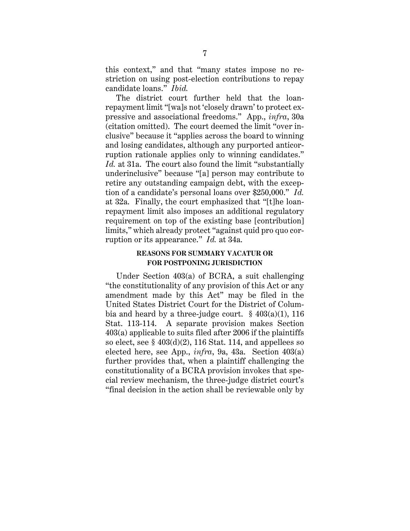this context," and that "many states impose no restriction on using post-election contributions to repay candidate loans." *Ibid.*

The district court further held that the loanrepayment limit "[wa]s not 'closely drawn' to protect expressive and associational freedoms." App., *infra*, 30a (citation omitted). The court deemed the limit "over inclusive" because it "applies across the board to winning and losing candidates, although any purported anticorruption rationale applies only to winning candidates." *Id.* at 31a. The court also found the limit "substantially underinclusive" because "[a] person may contribute to retire any outstanding campaign debt, with the exception of a candidate's personal loans over \$250,000." *Id.* at 32a. Finally, the court emphasized that "[t]he loanrepayment limit also imposes an additional regulatory requirement on top of the existing base [contribution] limits," which already protect "against quid pro quo corruption or its appearance." *Id.* at 34a.

## **REASONS FOR SUMMARY VACATUR OR FOR POSTPONING JURISDICTION**

Under Section 403(a) of BCRA, a suit challenging "the constitutionality of any provision of this Act or any amendment made by this Act" may be filed in the United States District Court for the District of Columbia and heard by a three-judge court.  $§ 403(a)(1)$ , 116 Stat. 113-114. A separate provision makes Section 403(a) applicable to suits filed after 2006 if the plaintiffs so elect, see  $\S$  403(d)(2), 116 Stat. 114, and appellees so elected here, see App., *infra*, 9a, 43a. Section 403(a) further provides that, when a plaintiff challenging the constitutionality of a BCRA provision invokes that special review mechanism, the three-judge district court's "final decision in the action shall be reviewable only by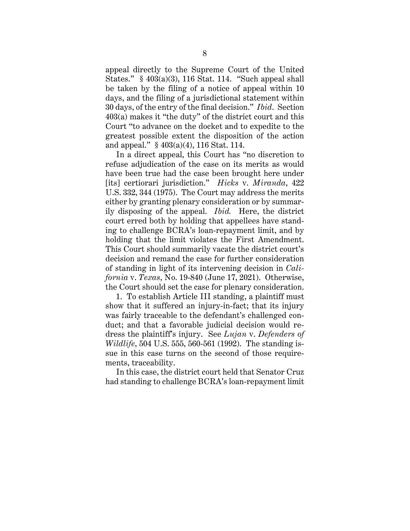appeal directly to the Supreme Court of the United States." § 403(a)(3), 116 Stat. 114. "Such appeal shall be taken by the filing of a notice of appeal within 10 days, and the filing of a jurisdictional statement within 30 days, of the entry of the final decision." *Ibid*. Section 403(a) makes it "the duty" of the district court and this Court "to advance on the docket and to expedite to the greatest possible extent the disposition of the action and appeal." § 403(a)(4), 116 Stat. 114.

In a direct appeal, this Court has "no discretion to refuse adjudication of the case on its merits as would have been true had the case been brought here under [its] certiorari jurisdiction." *Hicks* v. *Miranda*, 422 U.S. 332, 344 (1975). The Court may address the merits either by granting plenary consideration or by summarily disposing of the appeal. *Ibid.* Here, the district court erred both by holding that appellees have standing to challenge BCRA's loan-repayment limit, and by holding that the limit violates the First Amendment. This Court should summarily vacate the district court's decision and remand the case for further consideration of standing in light of its intervening decision in *California* v. *Texas*, No. 19-840 (June 17, 2021). Otherwise, the Court should set the case for plenary consideration.

1. To establish Article III standing, a plaintiff must show that it suffered an injury-in-fact; that its injury was fairly traceable to the defendant's challenged conduct; and that a favorable judicial decision would redress the plaintiff's injury. See *Lujan* v. *Defenders of Wildlife*, 504 U.S. 555, 560-561 (1992). The standing issue in this case turns on the second of those requirements, traceability.

In this case, the district court held that Senator Cruz had standing to challenge BCRA's loan-repayment limit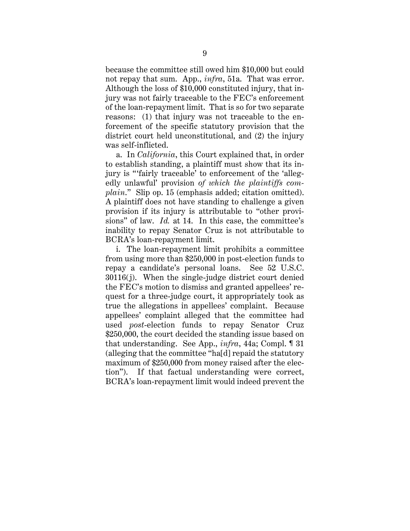because the committee still owed him \$10,000 but could not repay that sum. App., *infra*, 51a. That was error. Although the loss of \$10,000 constituted injury, that injury was not fairly traceable to the FEC's enforcement of the loan-repayment limit. That is so for two separate reasons: (1) that injury was not traceable to the enforcement of the specific statutory provision that the district court held unconstitutional, and (2) the injury was self-inflicted.

a. In *California*, this Court explained that, in order to establish standing, a plaintiff must show that its injury is "'fairly traceable' to enforcement of the 'allegedly unlawful' provision *of which the plaintiffs complain*." Slip op. 15 (emphasis added; citation omitted). A plaintiff does not have standing to challenge a given provision if its injury is attributable to "other provisions" of law. *Id.* at 14. In this case, the committee's inability to repay Senator Cruz is not attributable to BCRA's loan-repayment limit.

i. The loan-repayment limit prohibits a committee from using more than \$250,000 in post-election funds to repay a candidate's personal loans. See 52 U.S.C. 30116(j). When the single-judge district court denied the FEC's motion to dismiss and granted appellees' request for a three-judge court, it appropriately took as true the allegations in appellees' complaint. Because appellees' complaint alleged that the committee had used *post*-election funds to repay Senator Cruz \$250,000, the court decided the standing issue based on that understanding. See App., *infra*, 44a; Compl. ¶ 31 (alleging that the committee "ha[d] repaid the statutory maximum of \$250,000 from money raised after the election"). If that factual understanding were correct, BCRA's loan-repayment limit would indeed prevent the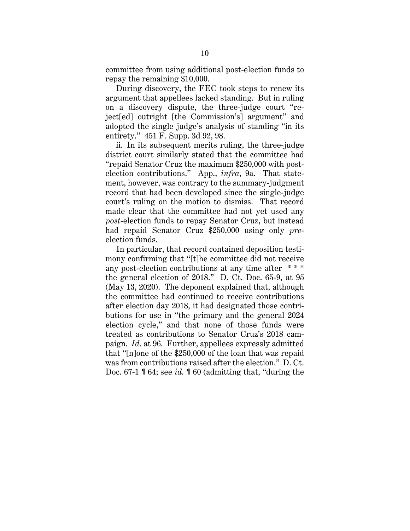committee from using additional post-election funds to repay the remaining \$10,000.

During discovery, the FEC took steps to renew its argument that appellees lacked standing. But in ruling on a discovery dispute, the three-judge court "reject[ed] outright [the Commission's] argument" and adopted the single judge's analysis of standing "in its entirety." 451 F. Supp. 3d 92, 98.

ii. In its subsequent merits ruling, the three-judge district court similarly stated that the committee had "repaid Senator Cruz the maximum \$250,000 with postelection contributions." App., *infra*, 9a. That statement, however, was contrary to the summary-judgment record that had been developed since the single-judge court's ruling on the motion to dismiss. That record made clear that the committee had not yet used any *post*-election funds to repay Senator Cruz, but instead had repaid Senator Cruz \$250,000 using only *pre*election funds.

In particular, that record contained deposition testimony confirming that "[t]he committee did not receive any post-election contributions at any time after \* \* \* the general election of 2018." D. Ct. Doc. 65-9, at 95 (May 13, 2020). The deponent explained that, although the committee had continued to receive contributions after election day 2018, it had designated those contributions for use in "the primary and the general 2024 election cycle," and that none of those funds were treated as contributions to Senator Cruz's 2018 campaign. *Id*. at 96. Further, appellees expressly admitted that "[n]one of the \$250,000 of the loan that was repaid was from contributions raised after the election." D. Ct. Doc. 67-1 ¶ 64; see *id.* ¶ 60 (admitting that, "during the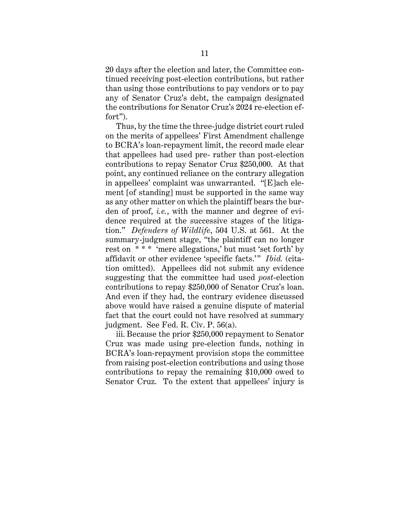20 days after the election and later, the Committee continued receiving post-election contributions, but rather than using those contributions to pay vendors or to pay any of Senator Cruz's debt, the campaign designated the contributions for Senator Cruz's 2024 re-election effort").

Thus, by the time the three-judge district court ruled on the merits of appellees' First Amendment challenge to BCRA's loan-repayment limit, the record made clear that appellees had used pre- rather than post-election contributions to repay Senator Cruz \$250,000. At that point, any continued reliance on the contrary allegation in appellees' complaint was unwarranted. "[E]ach element [of standing] must be supported in the same way as any other matter on which the plaintiff bears the burden of proof, *i.e.*, with the manner and degree of evidence required at the successive stages of the litigation." *Defenders of Wildlife*, 504 U.S. at 561. At the summary-judgment stage, "the plaintiff can no longer rest on \*\*\* 'mere allegations,' but must 'set forth' by affidavit or other evidence 'specific facts.'" *Ibid.* (citation omitted). Appellees did not submit any evidence suggesting that the committee had used *post*-election contributions to repay \$250,000 of Senator Cruz's loan. And even if they had, the contrary evidence discussed above would have raised a genuine dispute of material fact that the court could not have resolved at summary judgment. See Fed. R. Civ. P. 56(a).

iii. Because the prior \$250,000 repayment to Senator Cruz was made using pre-election funds, nothing in BCRA's loan-repayment provision stops the committee from raising post-election contributions and using those contributions to repay the remaining \$10,000 owed to Senator Cruz. To the extent that appellees' injury is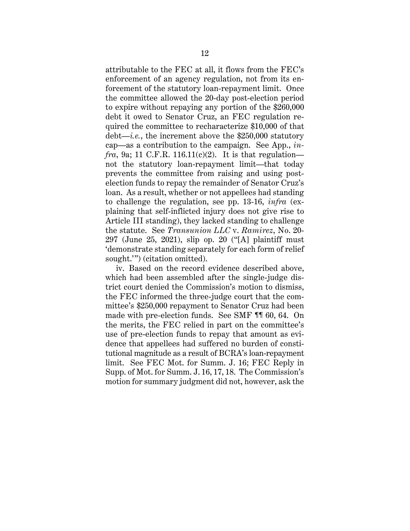attributable to the FEC at all, it flows from the FEC's enforcement of an agency regulation, not from its enforcement of the statutory loan-repayment limit. Once the committee allowed the 20-day post-election period to expire without repaying any portion of the \$260,000 debt it owed to Senator Cruz, an FEC regulation required the committee to recharacterize \$10,000 of that debt—*i.e.*, the increment above the \$250,000 statutory cap—as a contribution to the campaign. See App., *in* $fra, 9a; 11 C.F.R. 116.11(c)(2).$  It is that regulation not the statutory loan-repayment limit—that today prevents the committee from raising and using postelection funds to repay the remainder of Senator Cruz's loan. As a result, whether or not appellees had standing to challenge the regulation, see pp. 13-16, *infra* (explaining that self-inflicted injury does not give rise to Article III standing), they lacked standing to challenge the statute. See *Transunion LLC* v. *Ramirez*, No. 20- 297 (June 25, 2021), slip op. 20 ("[A] plaintiff must 'demonstrate standing separately for each form of relief sought.'") (citation omitted).

iv. Based on the record evidence described above, which had been assembled after the single-judge district court denied the Commission's motion to dismiss, the FEC informed the three-judge court that the committee's \$250,000 repayment to Senator Cruz had been made with pre-election funds. See SMF ¶¶ 60, 64. On the merits, the FEC relied in part on the committee's use of pre-election funds to repay that amount as evidence that appellees had suffered no burden of constitutional magnitude as a result of BCRA's loan-repayment limit. See FEC Mot. for Summ. J. 16; FEC Reply in Supp. of Mot. for Summ. J. 16, 17, 18. The Commission's motion for summary judgment did not, however, ask the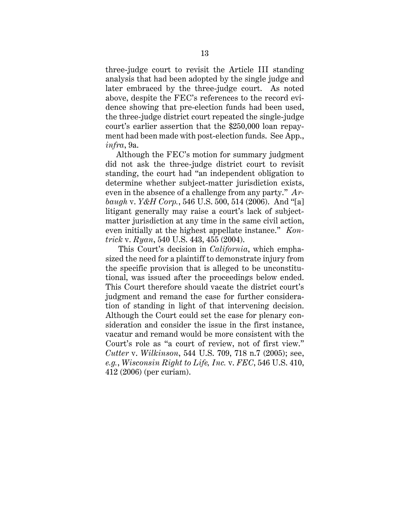three-judge court to revisit the Article III standing analysis that had been adopted by the single judge and later embraced by the three-judge court. As noted above, despite the FEC's references to the record evidence showing that pre-election funds had been used, the three-judge district court repeated the single-judge court's earlier assertion that the \$250,000 loan repayment had been made with post-election funds. See App., *infra*, 9a.

Although the FEC's motion for summary judgment did not ask the three-judge district court to revisit standing, the court had "an independent obligation to determine whether subject-matter jurisdiction exists, even in the absence of a challenge from any party." *Arbaugh* v. *Y&H Corp.*, 546 U.S. 500, 514 (2006). And "[a] litigant generally may raise a court's lack of subjectmatter jurisdiction at any time in the same civil action, even initially at the highest appellate instance." *Kontrick* v. *Ryan*, 540 U.S. 443, 455 (2004).

 This Court's decision in *California*, which emphasized the need for a plaintiff to demonstrate injury from the specific provision that is alleged to be unconstitutional, was issued after the proceedings below ended. This Court therefore should vacate the district court's judgment and remand the case for further consideration of standing in light of that intervening decision. Although the Court could set the case for plenary consideration and consider the issue in the first instance, vacatur and remand would be more consistent with the Court's role as "a court of review, not of first view." *Cutter* v. *Wilkinson*, 544 U.S. 709, 718 n.7 (2005); see, *e.g.*, *Wisconsin Right to Life, Inc.* v. *FEC*, 546 U.S. 410, 412 (2006) (per curiam).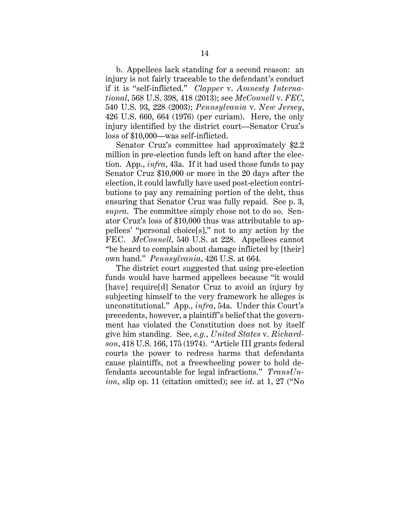b. Appellees lack standing for a second reason: an injury is not fairly traceable to the defendant's conduct if it is "self-inflicted." *Clapper* v. *Amnesty International*, 568 U.S. 398, 418 (2013); see *McConnell* v. *FEC*, 540 U.S. 93, 228 (2003); *Pennsylvania* v. *New Jersey*, 426 U.S. 660, 664 (1976) (per curiam). Here, the only injury identified by the district court—Senator Cruz's loss of \$10,000—was self-inflicted.

Senator Cruz's committee had approximately \$2.2 million in pre-election funds left on hand after the election. App., *infra*, 43a. If it had used those funds to pay Senator Cruz \$10,000 or more in the 20 days after the election, it could lawfully have used post-election contributions to pay any remaining portion of the debt, thus ensuring that Senator Cruz was fully repaid. See p. 3, *supra*. The committee simply chose not to do so. Senator Cruz's loss of \$10,000 thus was attributable to appellees' "personal choice[s]," not to any action by the FEC. *McConnell*, 540 U.S. at 228. Appellees cannot "be heard to complain about damage inflicted by [their] own hand." *Pennsylvania*, 426 U.S. at 664.

The district court suggested that using pre-election funds would have harmed appellees because "it would [have] require[d] Senator Cruz to avoid an injury by subjecting himself to the very framework he alleges is unconstitutional." App., *infra*, 54a. Under this Court's precedents, however, a plaintiff's belief that the government has violated the Constitution does not by itself give him standing. See, *e.g.*, *United States* v. *Richardson*, 418 U.S. 166, 175 (1974). "Article III grants federal courts the power to redress harms that defendants cause plaintiffs, not a freewheeling power to hold defendants accountable for legal infractions." *TransUnion*, slip op. 11 (citation omitted); see *id*. at 1, 27 ("No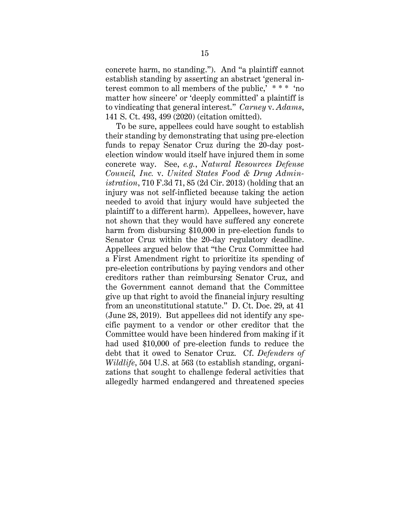concrete harm, no standing."). And "a plaintiff cannot establish standing by asserting an abstract 'general interest common to all members of the public,' \* \* \* 'no matter how sincere' or 'deeply committed' a plaintiff is to vindicating that general interest." *Carney* v. *Adams*, 141 S. Ct. 493, 499 (2020) (citation omitted).

To be sure, appellees could have sought to establish their standing by demonstrating that using pre-election funds to repay Senator Cruz during the 20-day postelection window would itself have injured them in some concrete way. See, *e.g.*, *Natural Resources Defense Council, Inc.* v. *United States Food & Drug Administration*, 710 F.3d 71, 85 (2d Cir. 2013) (holding that an injury was not self-inflicted because taking the action needed to avoid that injury would have subjected the plaintiff to a different harm). Appellees, however, have not shown that they would have suffered any concrete harm from disbursing \$10,000 in pre-election funds to Senator Cruz within the 20-day regulatory deadline. Appellees argued below that "the Cruz Committee had a First Amendment right to prioritize its spending of pre-election contributions by paying vendors and other creditors rather than reimbursing Senator Cruz, and the Government cannot demand that the Committee give up that right to avoid the financial injury resulting from an unconstitutional statute." D. Ct. Doc. 29, at 41 (June 28, 2019). But appellees did not identify any specific payment to a vendor or other creditor that the Committee would have been hindered from making if it had used \$10,000 of pre-election funds to reduce the debt that it owed to Senator Cruz. Cf. *Defenders of Wildlife*, 504 U.S. at 563 (to establish standing, organizations that sought to challenge federal activities that allegedly harmed endangered and threatened species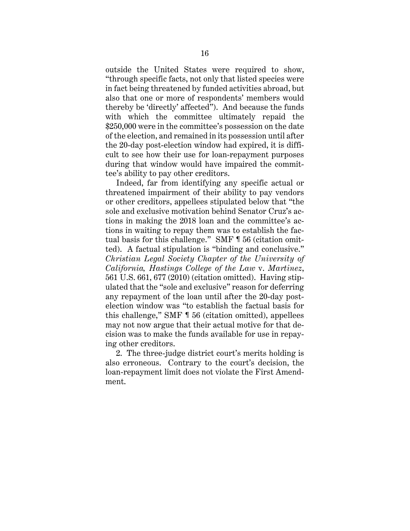outside the United States were required to show, "through specific facts, not only that listed species were in fact being threatened by funded activities abroad, but also that one or more of respondents' members would thereby be 'directly' affected"). And because the funds with which the committee ultimately repaid the \$250,000 were in the committee's possession on the date of the election, and remained in its possession until after the 20-day post-election window had expired, it is difficult to see how their use for loan-repayment purposes during that window would have impaired the committee's ability to pay other creditors.

Indeed, far from identifying any specific actual or threatened impairment of their ability to pay vendors or other creditors, appellees stipulated below that "the sole and exclusive motivation behind Senator Cruz's actions in making the 2018 loan and the committee's actions in waiting to repay them was to establish the factual basis for this challenge." SMF ¶ 56 (citation omitted). A factual stipulation is "binding and conclusive." *Christian Legal Society Chapter of the University of California, Hastings College of the Law* v. *Martinez*, 561 U.S. 661, 677 (2010) (citation omitted). Having stipulated that the "sole and exclusive" reason for deferring any repayment of the loan until after the 20-day postelection window was "to establish the factual basis for this challenge," SMF ¶ 56 (citation omitted), appellees may not now argue that their actual motive for that decision was to make the funds available for use in repaying other creditors.

2. The three-judge district court's merits holding is also erroneous. Contrary to the court's decision, the loan-repayment limit does not violate the First Amendment.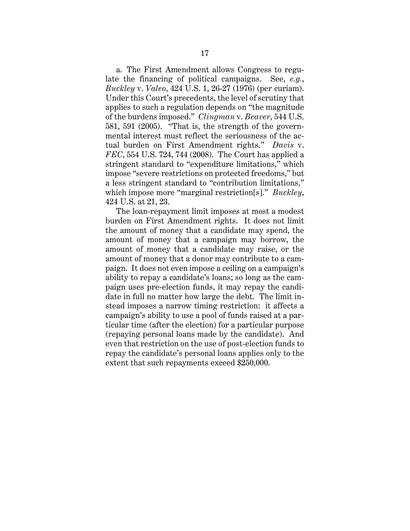a. The First Amendment allows Congress to regulate the financing of political campaigns. See, *e.g.*, *Buckley* v. *Valeo*, 424 U.S. 1, 26-27 (1976) (per curiam). Under this Court's precedents, the level of scrutiny that applies to such a regulation depends on "the magnitude of the burdens imposed." *Clingman* v. *Beaver*, 544 U.S. 581, 591 (2005). "That is, the strength of the governmental interest must reflect the seriousness of the actual burden on First Amendment rights." *Davis* v. *FEC*, 554 U.S. 724, 744 (2008). The Court has applied a stringent standard to "expenditure limitations," which impose "severe restrictions on protected freedoms," but a less stringent standard to "contribution limitations," which impose more "marginal restriction[s]." *Buckley*, 424 U.S. at 21, 23.

The loan-repayment limit imposes at most a modest burden on First Amendment rights. It does not limit the amount of money that a candidate may spend, the amount of money that a campaign may borrow, the amount of money that a candidate may raise, or the amount of money that a donor may contribute to a campaign. It does not even impose a ceiling on a campaign's ability to repay a candidate's loans; so long as the campaign uses pre-election funds, it may repay the candidate in full no matter how large the debt. The limit instead imposes a narrow timing restriction: it affects a campaign's ability to use a pool of funds raised at a particular time (after the election) for a particular purpose (repaying personal loans made by the candidate). And even that restriction on the use of post-election funds to repay the candidate's personal loans applies only to the extent that such repayments exceed \$250,000.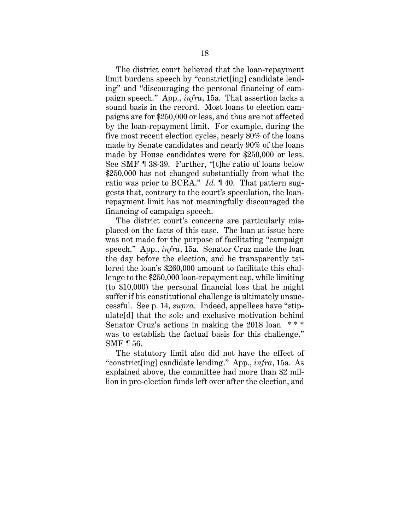The district court believed that the loan-repayment limit burdens speech by "constrict[ing] candidate lending" and "discouraging the personal financing of campaign speech." App., *infra*, 15a. That assertion lacks a sound basis in the record. Most loans to election campaigns are for \$250,000 or less, and thus are not affected by the loan-repayment limit. For example, during the five most recent election cycles, nearly 80% of the loans made by Senate candidates and nearly 90% of the loans made by House candidates were for \$250,000 or less. See SMF ¶ 38-39. Further, "[t]he ratio of loans below \$250,000 has not changed substantially from what the ratio was prior to BCRA." *Id.* ¶ 40. That pattern suggests that, contrary to the court's speculation, the loanrepayment limit has not meaningfully discouraged the financing of campaign speech.

The district court's concerns are particularly misplaced on the facts of this case. The loan at issue here was not made for the purpose of facilitating "campaign speech." App., *infra*, 15a. Senator Cruz made the loan the day before the election, and he transparently tailored the loan's \$260,000 amount to facilitate this challenge to the \$250,000 loan-repayment cap, while limiting (to \$10,000) the personal financial loss that he might suffer if his constitutional challenge is ultimately unsuccessful. See p. 14, *supra*. Indeed, appellees have "stipulate[d] that the sole and exclusive motivation behind Senator Cruz's actions in making the 2018 loan was to establish the factual basis for this challenge." SMF ¶ 56.

The statutory limit also did not have the effect of "constrict[ing] candidate lending." App., *infra*, 15a. As explained above, the committee had more than \$2 million in pre-election funds left over after the election, and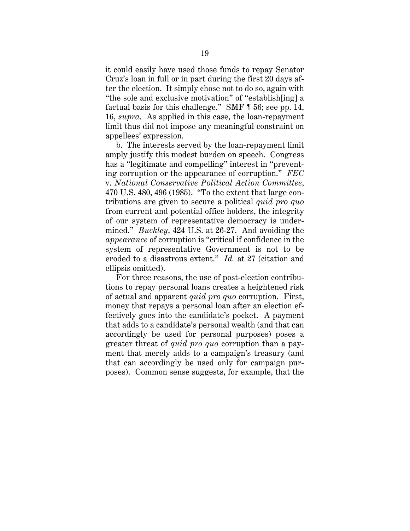it could easily have used those funds to repay Senator Cruz's loan in full or in part during the first 20 days after the election. It simply chose not to do so, again with "the sole and exclusive motivation" of "establish[ing] a factual basis for this challenge." SMF ¶ 56; see pp. 14, 16, *supra*. As applied in this case, the loan-repayment limit thus did not impose any meaningful constraint on appellees' expression.

b. The interests served by the loan-repayment limit amply justify this modest burden on speech. Congress has a "legitimate and compelling" interest in "preventing corruption or the appearance of corruption." *FEC*  v. *National Conservative Political Action Committee*, 470 U.S. 480, 496 (1985). "To the extent that large contributions are given to secure a political *quid pro quo* from current and potential office holders, the integrity of our system of representative democracy is undermined." *Buckley*, 424 U.S. at 26-27. And avoiding the *appearance* of corruption is "critical if confidence in the system of representative Government is not to be eroded to a disastrous extent." *Id.* at 27 (citation and ellipsis omitted).

For three reasons, the use of post-election contributions to repay personal loans creates a heightened risk of actual and apparent *quid pro quo* corruption. First, money that repays a personal loan after an election effectively goes into the candidate's pocket. A payment that adds to a candidate's personal wealth (and that can accordingly be used for personal purposes) poses a greater threat of *quid pro quo* corruption than a payment that merely adds to a campaign's treasury (and that can accordingly be used only for campaign purposes). Common sense suggests, for example, that the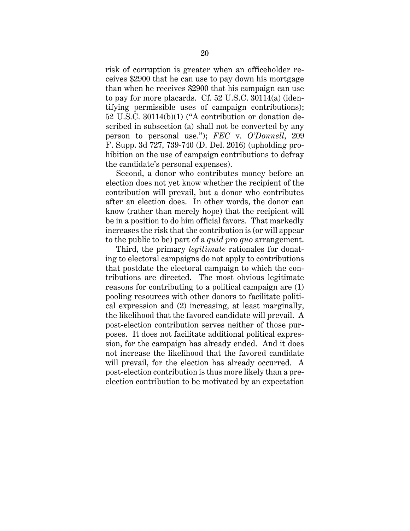risk of corruption is greater when an officeholder receives \$2900 that he can use to pay down his mortgage than when he receives \$2900 that his campaign can use to pay for more placards. Cf. 52 U.S.C. 30114(a) (identifying permissible uses of campaign contributions); 52 U.S.C. 30114(b)(1) ("A contribution or donation described in subsection (a) shall not be converted by any person to personal use."); *FEC* v. *O'Donnell*, 209 F. Supp. 3d 727, 739-740 (D. Del. 2016) (upholding prohibition on the use of campaign contributions to defray the candidate's personal expenses).

Second, a donor who contributes money before an election does not yet know whether the recipient of the contribution will prevail, but a donor who contributes after an election does. In other words, the donor can know (rather than merely hope) that the recipient will be in a position to do him official favors. That markedly increases the risk that the contribution is (or will appear to the public to be) part of a *quid pro quo* arrangement.

Third, the primary *legitimate* rationales for donating to electoral campaigns do not apply to contributions that postdate the electoral campaign to which the contributions are directed. The most obvious legitimate reasons for contributing to a political campaign are (1) pooling resources with other donors to facilitate political expression and (2) increasing, at least marginally, the likelihood that the favored candidate will prevail. A post-election contribution serves neither of those purposes. It does not facilitate additional political expression, for the campaign has already ended. And it does not increase the likelihood that the favored candidate will prevail, for the election has already occurred. A post-election contribution is thus more likely than a preelection contribution to be motivated by an expectation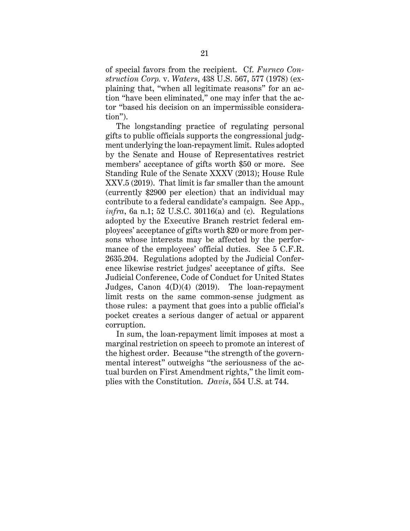of special favors from the recipient. Cf. *Furnco Construction Corp.* v. *Waters*, 438 U.S. 567, 577 (1978) (explaining that, "when all legitimate reasons" for an action "have been eliminated," one may infer that the actor "based his decision on an impermissible consideration").

The longstanding practice of regulating personal gifts to public officials supports the congressional judgment underlying the loan-repayment limit. Rules adopted by the Senate and House of Representatives restrict members' acceptance of gifts worth \$50 or more. See Standing Rule of the Senate XXXV (2013); House Rule XXV.5 (2019). That limit is far smaller than the amount (currently \$2900 per election) that an individual may contribute to a federal candidate's campaign. See App., *infra*, 6a n.1; 52 U.S.C. 30116(a) and (c). Regulations adopted by the Executive Branch restrict federal employees' acceptance of gifts worth \$20 or more from persons whose interests may be affected by the performance of the employees' official duties. See 5 C.F.R. 2635.204. Regulations adopted by the Judicial Conference likewise restrict judges' acceptance of gifts. See Judicial Conference, Code of Conduct for United States Judges, Canon 4(D)(4) (2019). The loan-repayment limit rests on the same common-sense judgment as those rules: a payment that goes into a public official's pocket creates a serious danger of actual or apparent corruption.

In sum, the loan-repayment limit imposes at most a marginal restriction on speech to promote an interest of the highest order. Because "the strength of the governmental interest" outweighs "the seriousness of the actual burden on First Amendment rights," the limit complies with the Constitution. *Davis*, 554 U.S. at 744.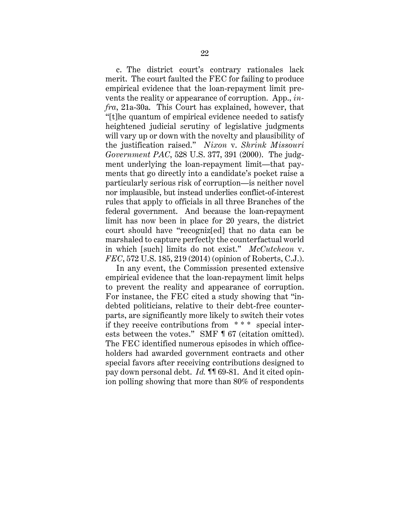c. The district court's contrary rationales lack merit. The court faulted the FEC for failing to produce empirical evidence that the loan-repayment limit prevents the reality or appearance of corruption. App., *infra*, 21a-30a. This Court has explained, however, that "[t]he quantum of empirical evidence needed to satisfy heightened judicial scrutiny of legislative judgments will vary up or down with the novelty and plausibility of the justification raised." *Nixon* v. *Shrink Missouri Government PAC*, 528 U.S. 377, 391 (2000). The judgment underlying the loan-repayment limit—that payments that go directly into a candidate's pocket raise a particularly serious risk of corruption—is neither novel nor implausible, but instead underlies conflict-of-interest rules that apply to officials in all three Branches of the federal government. And because the loan-repayment limit has now been in place for 20 years, the district court should have "recogniz[ed] that no data can be marshaled to capture perfectly the counterfactual world in which [such] limits do not exist." *McCutcheon* v. *FEC*, 572 U.S. 185, 219 (2014) (opinion of Roberts, C.J.).

In any event, the Commission presented extensive empirical evidence that the loan-repayment limit helps to prevent the reality and appearance of corruption. For instance, the FEC cited a study showing that "indebted politicians, relative to their debt-free counterparts, are significantly more likely to switch their votes if they receive contributions from \* \* \* special interests between the votes." SMF ¶ 67 (citation omitted). The FEC identified numerous episodes in which officeholders had awarded government contracts and other special favors after receiving contributions designed to pay down personal debt. *Id.* ¶¶ 69-81. And it cited opinion polling showing that more than 80% of respondents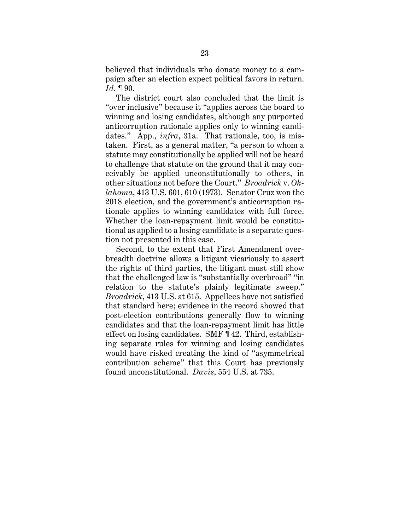believed that individuals who donate money to a campaign after an election expect political favors in return. *Id.* ¶ 90.

The district court also concluded that the limit is "over inclusive" because it "applies across the board to winning and losing candidates, although any purported anticorruption rationale applies only to winning candidates." App., *infra*, 31a. That rationale, too, is mistaken. First, as a general matter, "a person to whom a statute may constitutionally be applied will not be heard to challenge that statute on the ground that it may conceivably be applied unconstitutionally to others, in other situations not before the Court." *Broadrick* v. *Oklahoma*, 413 U.S. 601, 610 (1973). Senator Cruz won the 2018 election, and the government's anticorruption rationale applies to winning candidates with full force. Whether the loan-repayment limit would be constitutional as applied to a losing candidate is a separate question not presented in this case.

Second, to the extent that First Amendment overbreadth doctrine allows a litigant vicariously to assert the rights of third parties, the litigant must still show that the challenged law is "substantially overbroad" "in relation to the statute's plainly legitimate sweep." *Broadrick*, 413 U.S. at 615. Appellees have not satisfied that standard here; evidence in the record showed that post-election contributions generally flow to winning candidates and that the loan-repayment limit has little effect on losing candidates. SMF ¶ 42. Third, establishing separate rules for winning and losing candidates would have risked creating the kind of "asymmetrical contribution scheme" that this Court has previously found unconstitutional. *Davis*, 554 U.S. at 735.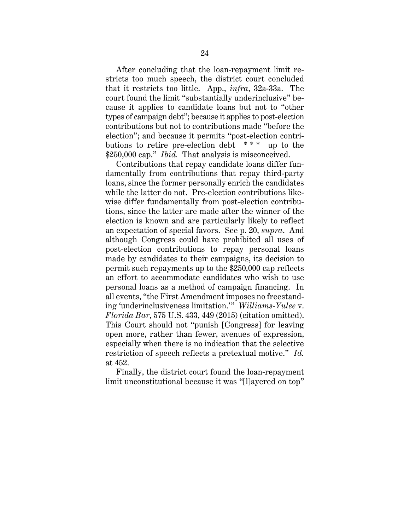After concluding that the loan-repayment limit restricts too much speech, the district court concluded that it restricts too little. App., *infra*, 32a-33a. The court found the limit "substantially underinclusive" because it applies to candidate loans but not to "other types of campaign debt"; because it applies to post-election contributions but not to contributions made "before the election"; and because it permits "post-election contributions to retire pre-election debt \* \* \* up to the \$250,000 cap." *Ibid.* That analysis is misconceived.

Contributions that repay candidate loans differ fundamentally from contributions that repay third-party loans, since the former personally enrich the candidates while the latter do not. Pre-election contributions likewise differ fundamentally from post-election contributions, since the latter are made after the winner of the election is known and are particularly likely to reflect an expectation of special favors. See p. 20, *supra*. And although Congress could have prohibited all uses of post-election contributions to repay personal loans made by candidates to their campaigns, its decision to permit such repayments up to the \$250,000 cap reflects an effort to accommodate candidates who wish to use personal loans as a method of campaign financing. In all events, "the First Amendment imposes no freestanding 'underinclusiveness limitation.'" *Williams-Yulee* v. *Florida Bar*, 575 U.S. 433, 449 (2015) (citation omitted). This Court should not "punish [Congress] for leaving open more, rather than fewer, avenues of expression, especially when there is no indication that the selective restriction of speech reflects a pretextual motive." *Id.* at 452.

Finally, the district court found the loan-repayment limit unconstitutional because it was "[l]ayered on top"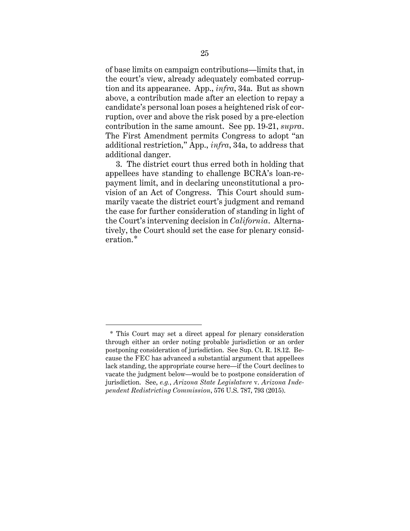of base limits on campaign contributions—limits that, in the court's view, already adequately combated corruption and its appearance. App., *infra*, 34a. But as shown above, a contribution made after an election to repay a candidate's personal loan poses a heightened risk of corruption, over and above the risk posed by a pre-election contribution in the same amount. See pp. 19-21, *supra*. The First Amendment permits Congress to adopt "an additional restriction," App., *infra*, 34a, to address that additional danger.

3. The district court thus erred both in holding that appellees have standing to challenge BCRA's loan-repayment limit, and in declaring unconstitutional a provision of an Act of Congress. This Court should summarily vacate the district court's judgment and remand the case for further consideration of standing in light of the Court's intervening decision in *California*. Alternatively, the Court should set the case for plenary consideration.\*

<sup>\*</sup> This Court may set a direct appeal for plenary consideration through either an order noting probable jurisdiction or an order postponing consideration of jurisdiction. See Sup. Ct. R. 18.12. Because the FEC has advanced a substantial argument that appellees lack standing, the appropriate course here—if the Court declines to vacate the judgment below—would be to postpone consideration of jurisdiction. See, *e.g.*, *Arizona State Legislature* v. *Arizona Independent Redistricting Commission*, 576 U.S. 787, 793 (2015).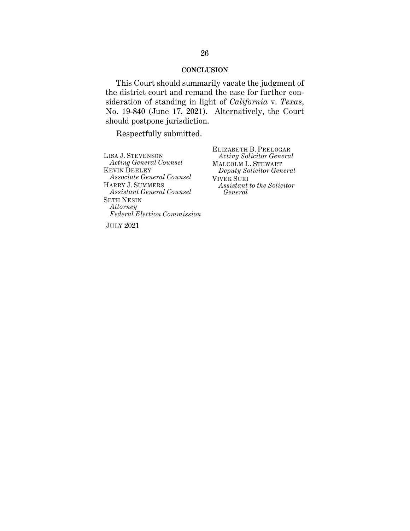#### **CONCLUSION**

This Court should summarily vacate the judgment of the district court and remand the case for further consideration of standing in light of *California* v. *Texas*, No. 19-840 (June 17, 2021). Alternatively, the Court should postpone jurisdiction.

Respectfully submitted.

LISA J. STEVENSON *Acting General Counsel* KEVIN DEELEY *Associate General Counsel*  HARRY J. SUMMERS *Assistant General Counsel* SETH NESIN *Attorney Federal Election Commission*

ELIZABETH B. PRELOGAR *Acting Solicitor General* MALCOLM L. STEWART *Deputy Solicitor General* VIVEK SURI *Assistant to the Solicitor General*

JULY 2021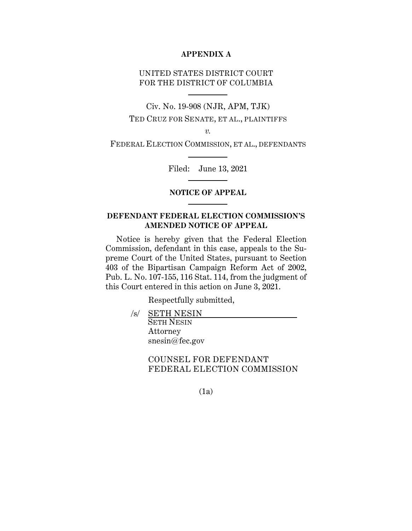# **APPENDIX A**

# UNITED STATES DISTRICT COURT FOR THE DISTRICT OF COLUMBIA

Civ. No. 19-908 (NJR, APM, TJK)

TED CRUZ FOR SENATE, ET AL., PLAINTIFFS

*v.*

FEDERAL ELECTION COMMISSION, ET AL., DEFENDANTS

Filed: June 13, 2021

## **NOTICE OF APPEAL**

# **DEFENDANT FEDERAL ELECTION COMMISSION'S AMENDED NOTICE OF APPEAL**

Notice is hereby given that the Federal Election Commission, defendant in this case, appeals to the Supreme Court of the United States, pursuant to Section 403 of the Bipartisan Campaign Reform Act of 2002, Pub. L. No. 107-155, 116 Stat. 114, from the judgment of this Court entered in this action on June 3, 2021.

Respectfully submitted,

 /s/ SETH NESIN SETH NESIN Attorney snesin@fec.gov

> COUNSEL FOR DEFENDANT FEDERAL ELECTION COMMISSION

> > (1a)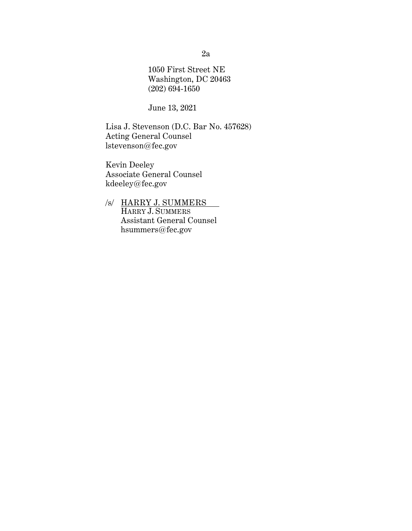1050 First Street NE Washington, DC 20463 (202) 694-1650

June 13, 2021

Lisa J. Stevenson (D.C. Bar No. 457628) Acting General Counsel lstevenson@fec.gov

Kevin Deeley Associate General Counsel kdeeley@fec.gov

/s/ HARRY J. SUMMERS HARRY J. SUMMERS Assistant General Counsel hsummers@fec.gov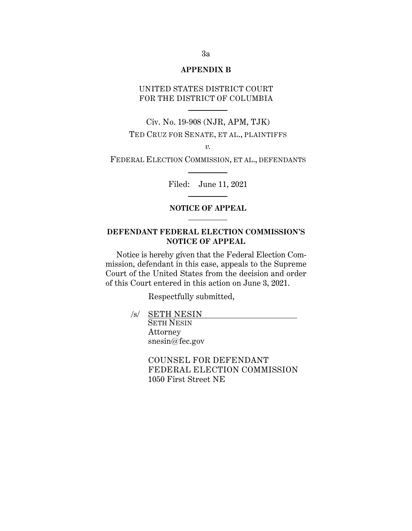## **APPENDIX B**

# UNITED STATES DISTRICT COURT FOR THE DISTRICT OF COLUMBIA

Civ. No. 19-908 (NJR, APM, TJK) TED CRUZ FOR SENATE, ET AL., PLAINTIFFS

*v.*

FEDERAL ELECTION COMMISSION, ET AL., DEFENDANTS

Filed: June 11, 2021

# **NOTICE OF APPEAL**

# **DEFENDANT FEDERAL ELECTION COMMISSION'S NOTICE OF APPEAL**

Notice is hereby given that the Federal Election Commission, defendant in this case, appeals to the Supreme Court of the United States from the decision and order of this Court entered in this action on June 3, 2021.

Respectfully submitted,

/s/ SETH NESIN

SETH NESIN Attorney snesin@fec.gov

 COUNSEL FOR DEFENDANT FEDERAL ELECTION COMMISSION 1050 First Street NE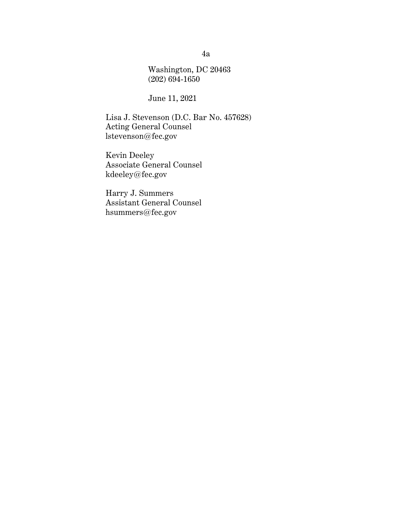Washington, DC 20463 (202) 694-1650

June 11, 2021

Lisa J. Stevenson (D.C. Bar No. 457628) Acting General Counsel lstevenson@fec.gov

Kevin Deeley Associate General Counsel kdeeley@fec.gov

Harry J. Summers Assistant General Counsel hsummers@fec.gov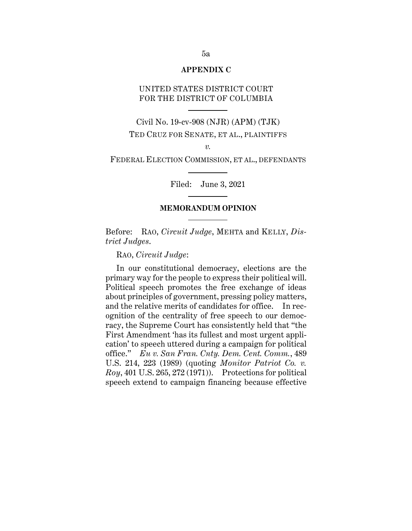#### **APPENDIX C**

# UNITED STATES DISTRICT COURT FOR THE DISTRICT OF COLUMBIA

Civil No. 19-cv-908 (NJR) (APM) (TJK) TED CRUZ FOR SENATE, ET AL., PLAINTIFFS

*v.*

FEDERAL ELECTION COMMISSION, ET AL., DEFENDANTS

Filed: June 3, 2021

## **MEMORANDUM OPINION**

Before: RAO, *Circuit Judge*, MEHTA and KELLY, *District Judges*.

RAO, *Circuit Judge*:

In our constitutional democracy, elections are the primary way for the people to express their political will. Political speech promotes the free exchange of ideas about principles of government, pressing policy matters, and the relative merits of candidates for office. In recognition of the centrality of free speech to our democracy, the Supreme Court has consistently held that "the First Amendment 'has its fullest and most urgent application' to speech uttered during a campaign for political office." *Eu v. San Fran. Cnty. Dem. Cent. Comm.*, 489 U.S. 214, 223 (1989) (quoting *Monitor Patriot Co. v. Roy*, 401 U.S. 265, 272 (1971)). Protections for political speech extend to campaign financing because effective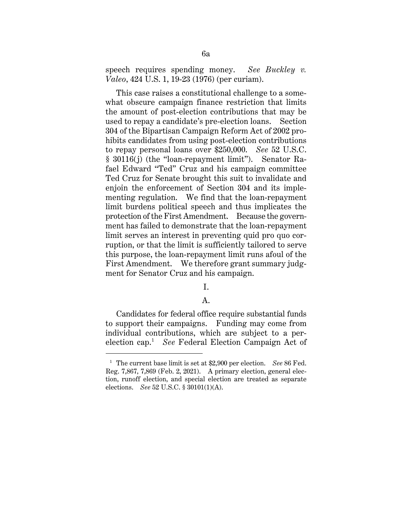speech requires spending money. *See Buckley v. Valeo*, 424 U.S. 1, 19-23 (1976) (per curiam).

This case raises a constitutional challenge to a somewhat obscure campaign finance restriction that limits the amount of post-election contributions that may be used to repay a candidate's pre-election loans. Section 304 of the Bipartisan Campaign Reform Act of 2002 prohibits candidates from using post-election contributions to repay personal loans over \$250,000. *See* 52 U.S.C. § 30116(j) (the "loan-repayment limit"). Senator Rafael Edward "Ted" Cruz and his campaign committee Ted Cruz for Senate brought this suit to invalidate and enjoin the enforcement of Section 304 and its implementing regulation. We find that the loan-repayment limit burdens political speech and thus implicates the protection of the First Amendment. Because the government has failed to demonstrate that the loan-repayment limit serves an interest in preventing quid pro quo corruption, or that the limit is sufficiently tailored to serve this purpose, the loan-repayment limit runs afoul of the First Amendment. We therefore grant summary judgment for Senator Cruz and his campaign.

# I.

### A.

Candidates for federal office require substantial funds to support their campaigns. Funding may come from individual contributions, which are subject to a perelection cap.1 *See* Federal Election Campaign Act of

<sup>1</sup> The current base limit is set at \$2,900 per election. *See* 86 Fed. Reg. 7,867, 7,869 (Feb. 2, 2021). A primary election, general election, runoff election, and special election are treated as separate elections. *See* 52 U.S.C. § 30101(1)(A).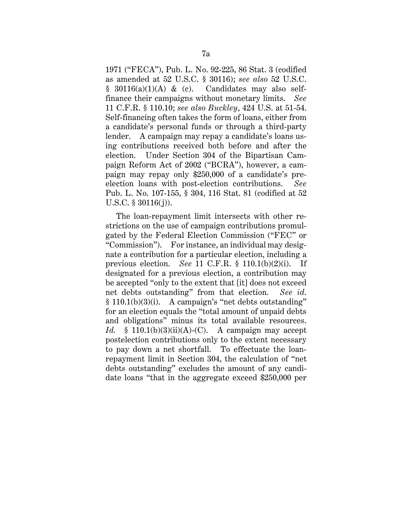1971 ("FECA"), Pub. L. No. 92-225, 86 Stat. 3 (codified as amended at 52 U.S.C. § 30116); *see also* 52 U.S.C.  $§$  30116(a)(1)(A) & (c). Candidates may also selffinance their campaigns without monetary limits. *See* 11 C.F.R. § 110.10; *see also Buckley*, 424 U.S. at 51-54. Self-financing often takes the form of loans, either from a candidate's personal funds or through a third-party lender. A campaign may repay a candidate's loans using contributions received both before and after the election. Under Section 304 of the Bipartisan Campaign Reform Act of 2002 ("BCRA"), however, a campaign may repay only \$250,000 of a candidate's preelection loans with post-election contributions. *See*  Pub. L. No. 107-155, § 304, 116 Stat. 81 (codified at 52 U.S.C. § 30116(j)).

The loan-repayment limit intersects with other restrictions on the use of campaign contributions promulgated by the Federal Election Commission ("FEC" or "Commission"). For instance, an individual may designate a contribution for a particular election, including a previous election. *See* 11 C.F.R. § 110.1(b)(2)(i). If designated for a previous election, a contribution may be accepted "only to the extent that [it] does not exceed net debts outstanding" from that election. *See id*.  $§ 110.1(b)(3)(i)$ . A campaign's "net debts outstanding" for an election equals the "total amount of unpaid debts and obligations" minus its total available resources. *Id.* § 110.1(b)(3)(ii)(A)-(C). A campaign may accept postelection contributions only to the extent necessary to pay down a net shortfall. To effectuate the loanrepayment limit in Section 304, the calculation of "net debts outstanding" excludes the amount of any candidate loans "that in the aggregate exceed \$250,000 per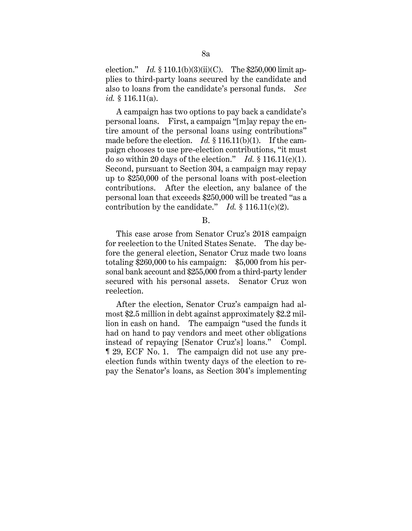election." *Id.* § 110.1(b)(3)(ii)(C). The \$250,000 limit applies to third-party loans secured by the candidate and also to loans from the candidate's personal funds. *See id.* § 116.11(a).

A campaign has two options to pay back a candidate's personal loans. First, a campaign "[m]ay repay the entire amount of the personal loans using contributions" made before the election. *Id.* § 116.11(b)(1). If the campaign chooses to use pre-election contributions, "it must do so within 20 days of the election." *Id.* § 116.11(c)(1). Second, pursuant to Section 304, a campaign may repay up to \$250,000 of the personal loans with post-election contributions. After the election, any balance of the personal loan that exceeds \$250,000 will be treated "as a contribution by the candidate." *Id.* § 116.11(c)(2).

B.

This case arose from Senator Cruz's 2018 campaign for reelection to the United States Senate. The day before the general election, Senator Cruz made two loans totaling \$260,000 to his campaign: \$5,000 from his personal bank account and \$255,000 from a third-party lender secured with his personal assets. Senator Cruz won reelection.

After the election, Senator Cruz's campaign had almost \$2.5 million in debt against approximately \$2.2 million in cash on hand. The campaign "used the funds it had on hand to pay vendors and meet other obligations instead of repaying [Senator Cruz's] loans." Compl. ¶ 29, ECF No. 1. The campaign did not use any preelection funds within twenty days of the election to repay the Senator's loans, as Section 304's implementing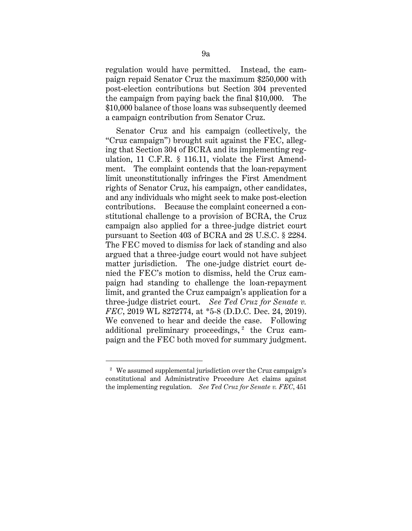regulation would have permitted. Instead, the campaign repaid Senator Cruz the maximum \$250,000 with post-election contributions but Section 304 prevented the campaign from paying back the final \$10,000. The \$10,000 balance of those loans was subsequently deemed a campaign contribution from Senator Cruz.

Senator Cruz and his campaign (collectively, the "Cruz campaign") brought suit against the FEC, alleging that Section 304 of BCRA and its implementing regulation, 11 C.F.R. § 116.11, violate the First Amendment. The complaint contends that the loan-repayment limit unconstitutionally infringes the First Amendment rights of Senator Cruz, his campaign, other candidates, and any individuals who might seek to make post-election contributions. Because the complaint concerned a constitutional challenge to a provision of BCRA, the Cruz campaign also applied for a three-judge district court pursuant to Section 403 of BCRA and 28 U.S.C. § 2284. The FEC moved to dismiss for lack of standing and also argued that a three-judge court would not have subject matter jurisdiction. The one-judge district court denied the FEC's motion to dismiss, held the Cruz campaign had standing to challenge the loan-repayment limit, and granted the Cruz campaign's application for a three-judge district court. *See Ted Cruz for Senate v. FEC*, 2019 WL 8272774, at \*5-8 (D.D.C. Dec. 24, 2019). We convened to hear and decide the case. Following additional preliminary proceedings,  $2$  the Cruz campaign and the FEC both moved for summary judgment.

<sup>2</sup> We assumed supplemental jurisdiction over the Cruz campaign's constitutional and Administrative Procedure Act claims against the implementing regulation. *See Ted Cruz for Senate v. FEC*, 451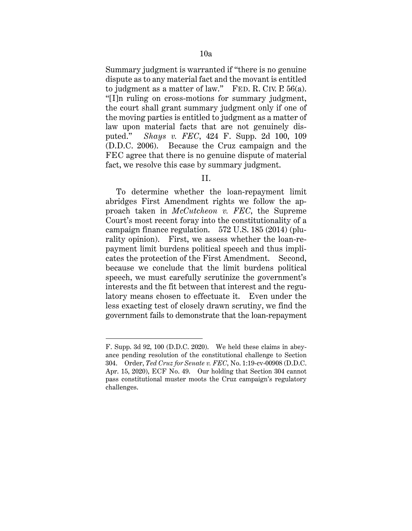Summary judgment is warranted if "there is no genuine dispute as to any material fact and the movant is entitled to judgment as a matter of law." FED. R. CIV. P.  $56(a)$ . "[I]n ruling on cross-motions for summary judgment, the court shall grant summary judgment only if one of the moving parties is entitled to judgment as a matter of law upon material facts that are not genuinely disputed." *Shays v. FEC*, 424 F. Supp. 2d 100, 109 (D.D.C. 2006). Because the Cruz campaign and the FEC agree that there is no genuine dispute of material fact, we resolve this case by summary judgment.

## II.

To determine whether the loan-repayment limit abridges First Amendment rights we follow the approach taken in *McCutcheon v. FEC*, the Supreme Court's most recent foray into the constitutionality of a campaign finance regulation. 572 U.S. 185 (2014) (plurality opinion). First, we assess whether the loan-repayment limit burdens political speech and thus implicates the protection of the First Amendment. Second, because we conclude that the limit burdens political speech, we must carefully scrutinize the government's interests and the fit between that interest and the regulatory means chosen to effectuate it. Even under the less exacting test of closely drawn scrutiny, we find the government fails to demonstrate that the loan-repayment

F. Supp. 3d 92, 100 (D.D.C. 2020). We held these claims in abeyance pending resolution of the constitutional challenge to Section 304. Order, *Ted Cruz for Senate v. FEC*, No. 1:19-cv-00908 (D.D.C. Apr. 15, 2020), ECF No. 49. Our holding that Section 304 cannot pass constitutional muster moots the Cruz campaign's regulatory challenges.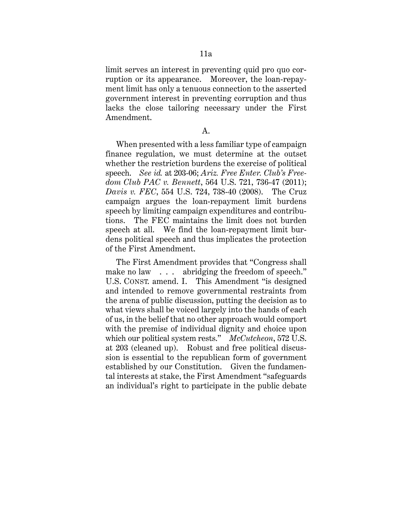limit serves an interest in preventing quid pro quo corruption or its appearance. Moreover, the loan-repayment limit has only a tenuous connection to the asserted government interest in preventing corruption and thus lacks the close tailoring necessary under the First Amendment.

A.

When presented with a less familiar type of campaign finance regulation, we must determine at the outset whether the restriction burdens the exercise of political speech. *See id.* at 203-06; *Ariz. Free Enter. Club's Freedom Club PAC v. Bennett*, 564 U.S. 721, 736-47 (2011); *Davis v. FEC*, 554 U.S. 724, 738-40 (2008). The Cruz campaign argues the loan-repayment limit burdens speech by limiting campaign expenditures and contributions. The FEC maintains the limit does not burden speech at all. We find the loan-repayment limit burdens political speech and thus implicates the protection of the First Amendment.

The First Amendment provides that "Congress shall make no law . . . abridging the freedom of speech." U.S. CONST. amend. I. This Amendment "is designed and intended to remove governmental restraints from the arena of public discussion, putting the decision as to what views shall be voiced largely into the hands of each of us, in the belief that no other approach would comport with the premise of individual dignity and choice upon which our political system rests." *McCutcheon*, 572 U.S. at 203 (cleaned up). Robust and free political discussion is essential to the republican form of government established by our Constitution. Given the fundamental interests at stake, the First Amendment "safeguards an individual's right to participate in the public debate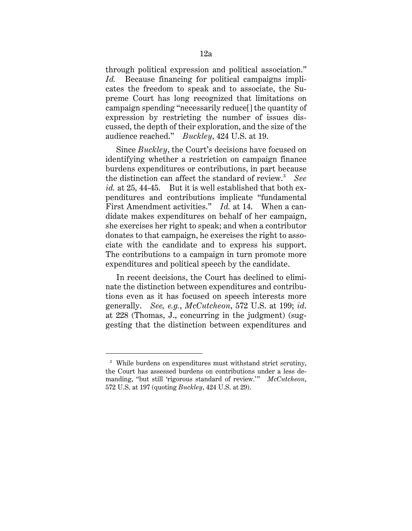through political expression and political association." *Id.* Because financing for political campaigns implicates the freedom to speak and to associate, the Supreme Court has long recognized that limitations on campaign spending "necessarily reduce[] the quantity of expression by restricting the number of issues discussed, the depth of their exploration, and the size of the audience reached." *Buckley*, 424 U.S. at 19.

Since *Buckley*, the Court's decisions have focused on identifying whether a restriction on campaign finance burdens expenditures or contributions, in part because the distinction can affect the standard of review.3 *See id.* at 25, 44-45. But it is well established that both expenditures and contributions implicate "fundamental First Amendment activities." *Id.* at 14. When a candidate makes expenditures on behalf of her campaign, she exercises her right to speak; and when a contributor donates to that campaign, he exercises the right to associate with the candidate and to express his support. The contributions to a campaign in turn promote more expenditures and political speech by the candidate.

In recent decisions, the Court has declined to eliminate the distinction between expenditures and contributions even as it has focused on speech interests more generally. *See, e.g.*, *McCutcheon*, 572 U.S. at 199; *id*. at 228 (Thomas, J., concurring in the judgment) (suggesting that the distinction between expenditures and

<sup>&</sup>lt;sup>3</sup> While burdens on expenditures must withstand strict scrutiny, the Court has assessed burdens on contributions under a less demanding, "but still 'rigorous standard of review.'" *McCutcheon*, 572 U.S. at 197 (quoting *Buckley*, 424 U.S. at 29).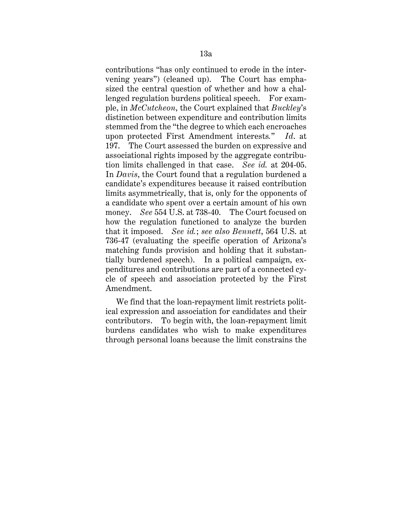contributions "has only continued to erode in the intervening years") (cleaned up). The Court has emphasized the central question of whether and how a challenged regulation burdens political speech. For example, in *McCutcheon*, the Court explained that *Buckley*'s distinction between expenditure and contribution limits stemmed from the "the degree to which each encroaches upon protected First Amendment interests*.*" *Id*. at 197. The Court assessed the burden on expressive and associational rights imposed by the aggregate contribution limits challenged in that case. *See id.* at 204-05. In *Davis*, the Court found that a regulation burdened a candidate's expenditures because it raised contribution limits asymmetrically, that is, only for the opponents of a candidate who spent over a certain amount of his own money. *See* 554 U.S. at 738-40. The Court focused on how the regulation functioned to analyze the burden that it imposed. *See id.*; *see also Bennett*, 564 U.S. at 736-47 (evaluating the specific operation of Arizona's matching funds provision and holding that it substantially burdened speech). In a political campaign, expenditures and contributions are part of a connected cycle of speech and association protected by the First Amendment.

We find that the loan-repayment limit restricts political expression and association for candidates and their contributors. To begin with, the loan-repayment limit burdens candidates who wish to make expenditures through personal loans because the limit constrains the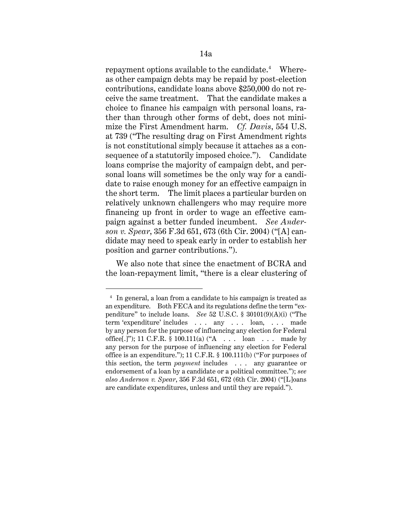$\operatorname{repayment}$  options available to the candidate. $^4$  Whereas other campaign debts may be repaid by post-election contributions, candidate loans above \$250,000 do not receive the same treatment. That the candidate makes a choice to finance his campaign with personal loans, rather than through other forms of debt, does not minimize the First Amendment harm. *Cf. Davis*, 554 U.S. at 739 ("The resulting drag on First Amendment rights is not constitutional simply because it attaches as a consequence of a statutorily imposed choice."). Candidate loans comprise the majority of campaign debt, and personal loans will sometimes be the only way for a candidate to raise enough money for an effective campaign in the short term. The limit places a particular burden on relatively unknown challengers who may require more financing up front in order to wage an effective campaign against a better funded incumbent. *See Anderson v. Spear*, 356 F.3d 651, 673 (6th Cir. 2004) ("[A] candidate may need to speak early in order to establish her position and garner contributions.").

We also note that since the enactment of BCRA and the loan-repayment limit, "there is a clear clustering of

<sup>4</sup> In general, a loan from a candidate to his campaign is treated as an expenditure. Both FECA and its regulations define the term "expenditure" to include loans. *See* 52 U.S.C. § 30101(9)(A)(i) ("The term 'expenditure' includes . . . any . . . loan, . . . made by any person for the purpose of influencing any election for Federal office[.]"); 11 C.F.R. § 100.111(a) ("A . . . loan . . . made by any person for the purpose of influencing any election for Federal office is an expenditure."); 11 C.F.R. § 100.111(b) ("For purposes of this section, the term *payment* includes . . . any guarantee or endorsement of a loan by a candidate or a political committee."); *see also Anderson v. Spear*, 356 F.3d 651, 672 (6th Cir. 2004) ("[L]oans are candidate expenditures, unless and until they are repaid.").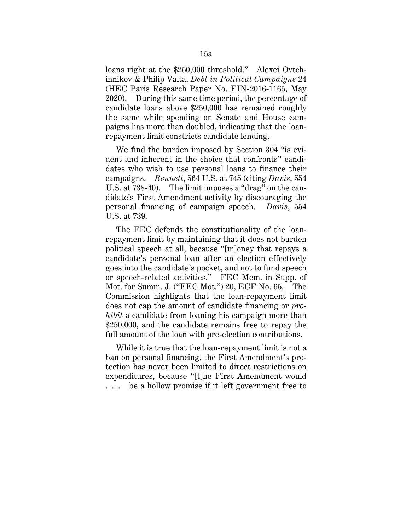loans right at the \$250,000 threshold." Alexei Ovtchinnikov & Philip Valta, *Debt in Political Campaigns* 24 (HEC Paris Research Paper No. FIN-2016-1165, May 2020). During this same time period, the percentage of candidate loans above \$250,000 has remained roughly the same while spending on Senate and House campaigns has more than doubled, indicating that the loanrepayment limit constricts candidate lending.

We find the burden imposed by Section 304 "is evident and inherent in the choice that confronts" candidates who wish to use personal loans to finance their campaigns. *Bennett*, 564 U.S. at 745 (citing *Davis*, 554 U.S. at 738-40). The limit imposes a "drag" on the candidate's First Amendment activity by discouraging the personal financing of campaign speech. *Davis*, 554 U.S. at 739.

The FEC defends the constitutionality of the loanrepayment limit by maintaining that it does not burden political speech at all, because "[m]oney that repays a candidate's personal loan after an election effectively goes into the candidate's pocket, and not to fund speech or speech-related activities." FEC Mem. in Supp. of Mot. for Summ. J. ("FEC Mot.") 20, ECF No. 65. The Commission highlights that the loan-repayment limit does not cap the amount of candidate financing or *prohibit* a candidate from loaning his campaign more than \$250,000, and the candidate remains free to repay the full amount of the loan with pre-election contributions.

While it is true that the loan-repayment limit is not a ban on personal financing, the First Amendment's protection has never been limited to direct restrictions on expenditures, because "[t]he First Amendment would . . . be a hollow promise if it left government free to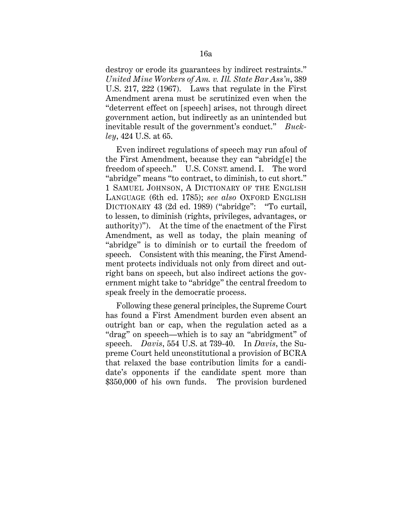destroy or erode its guarantees by indirect restraints." *United Mine Workers of Am. v. Ill. State Bar Ass'n*, 389 U.S. 217, 222 (1967). Laws that regulate in the First Amendment arena must be scrutinized even when the "deterrent effect on [speech] arises, not through direct government action, but indirectly as an unintended but inevitable result of the government's conduct." *Buckley*, 424 U.S. at 65.

Even indirect regulations of speech may run afoul of the First Amendment, because they can "abridg[e] the freedom of speech." U.S. CONST. amend. I. The word "abridge" means "to contract, to diminish, to cut short." 1 SAMUEL JOHNSON, A DICTIONARY OF THE ENGLISH LANGUAGE (6th ed. 1785); *see also* OXFORD ENGLISH DICTIONARY 43 (2d ed. 1989) ("abridge": "To curtail, to lessen, to diminish (rights, privileges, advantages, or authority)"). At the time of the enactment of the First Amendment, as well as today, the plain meaning of "abridge" is to diminish or to curtail the freedom of speech. Consistent with this meaning, the First Amendment protects individuals not only from direct and outright bans on speech, but also indirect actions the government might take to "abridge" the central freedom to speak freely in the democratic process.

Following these general principles, the Supreme Court has found a First Amendment burden even absent an outright ban or cap, when the regulation acted as a "drag" on speech—which is to say an "abridgment" of speech. *Davis*, 554 U.S. at 739-40. In *Davis*, the Supreme Court held unconstitutional a provision of BCRA that relaxed the base contribution limits for a candidate's opponents if the candidate spent more than \$350,000 of his own funds. The provision burdened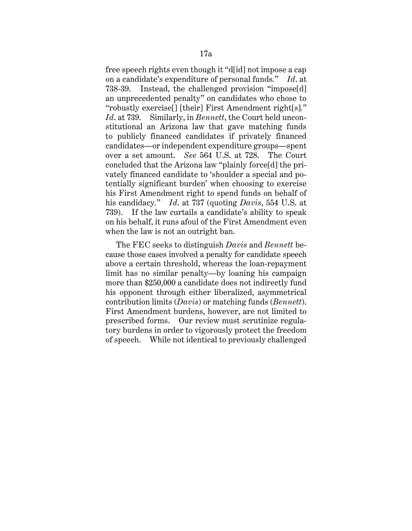free speech rights even though it "d[id] not impose a cap on a candidate's expenditure of personal funds*.*" *Id*. at 738-39. Instead, the challenged provision "impose[d] an unprecedented penalty" on candidates who chose to "robustly exercise[] [their] First Amendment right[s]*.*" *Id*. at 739. Similarly, in *Bennett*, the Court held unconstitutional an Arizona law that gave matching funds to publicly financed candidates if privately financed candidates—or independent expenditure groups—spent over a set amount. *See* 564 U.S. at 728. The Court concluded that the Arizona law "plainly force[d] the privately financed candidate to 'shoulder a special and potentially significant burden' when choosing to exercise his First Amendment right to spend funds on behalf of his candidacy*.*" *Id*. at 737 (quoting *Davis*, 554 U.S. at 739). If the law curtails a candidate's ability to speak on his behalf, it runs afoul of the First Amendment even when the law is not an outright ban.

The FEC seeks to distinguish *Davis* and *Bennett* because those cases involved a penalty for candidate speech above a certain threshold, whereas the loan-repayment limit has no similar penalty—by loaning his campaign more than \$250,000 a candidate does not indirectly fund his opponent through either liberalized, asymmetrical contribution limits (*Davis*) or matching funds (*Bennett*). First Amendment burdens, however, are not limited to prescribed forms. Our review must scrutinize regulatory burdens in order to vigorously protect the freedom of speech. While not identical to previously challenged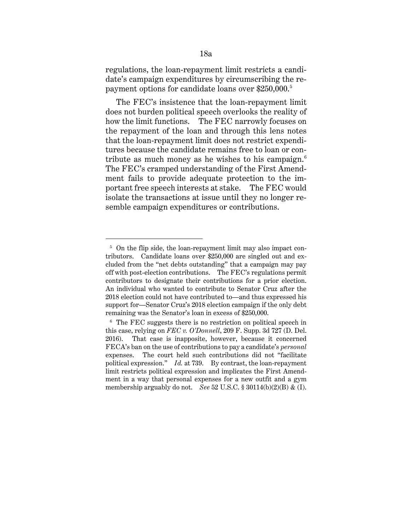regulations, the loan-repayment limit restricts a candidate's campaign expenditures by circumscribing the repayment options for candidate loans over \$250,000.<sup>5</sup>

The FEC's insistence that the loan-repayment limit does not burden political speech overlooks the reality of how the limit functions. The FEC narrowly focuses on the repayment of the loan and through this lens notes that the loan-repayment limit does not restrict expenditures because the candidate remains free to loan or contribute as much money as he wishes to his campaign. $^6$ The FEC's cramped understanding of the First Amendment fails to provide adequate protection to the important free speech interests at stake. The FEC would isolate the transactions at issue until they no longer resemble campaign expenditures or contributions.

<sup>&</sup>lt;sup>5</sup> On the flip side, the loan-repayment limit may also impact contributors. Candidate loans over \$250,000 are singled out and excluded from the "net debts outstanding" that a campaign may pay off with post-election contributions. The FEC's regulations permit contributors to designate their contributions for a prior election. An individual who wanted to contribute to Senator Cruz after the 2018 election could not have contributed to—and thus expressed his support for—Senator Cruz's 2018 election campaign if the only debt remaining was the Senator's loan in excess of \$250,000.

<sup>6</sup> The FEC suggests there is no restriction on political speech in this case, relying on *FEC v. O'Donnell*, 209 F. Supp. 3d 727 (D. Del. 2016). That case is inapposite, however, because it concerned FECA's ban on the use of contributions to pay a candidate's *personal* expenses. The court held such contributions did not "facilitate political expression." *Id.* at 739. By contrast, the loan-repayment limit restricts political expression and implicates the First Amendment in a way that personal expenses for a new outfit and a gym membership arguably do not. *See* 52 U.S.C. § 30114(b)(2)(B) & (I).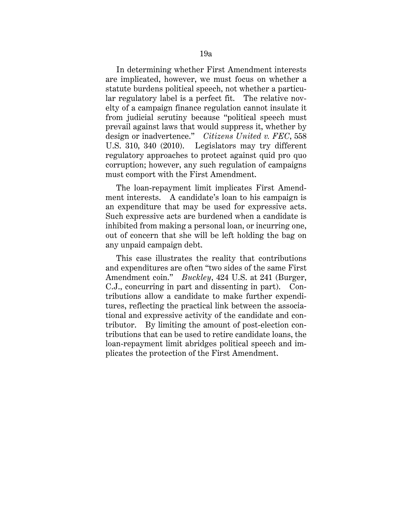In determining whether First Amendment interests are implicated, however, we must focus on whether a statute burdens political speech, not whether a particular regulatory label is a perfect fit. The relative novelty of a campaign finance regulation cannot insulate it from judicial scrutiny because "political speech must prevail against laws that would suppress it, whether by design or inadvertence." *Citizens United v. FEC*, 558 U.S. 310, 340 (2010). Legislators may try different regulatory approaches to protect against quid pro quo corruption; however, any such regulation of campaigns must comport with the First Amendment.

The loan-repayment limit implicates First Amendment interests. A candidate's loan to his campaign is an expenditure that may be used for expressive acts. Such expressive acts are burdened when a candidate is inhibited from making a personal loan, or incurring one, out of concern that she will be left holding the bag on any unpaid campaign debt.

This case illustrates the reality that contributions and expenditures are often "two sides of the same First Amendment coin." *Buckley*, 424 U.S. at 241 (Burger, C.J., concurring in part and dissenting in part). Contributions allow a candidate to make further expenditures, reflecting the practical link between the associational and expressive activity of the candidate and contributor. By limiting the amount of post-election contributions that can be used to retire candidate loans, the loan-repayment limit abridges political speech and implicates the protection of the First Amendment.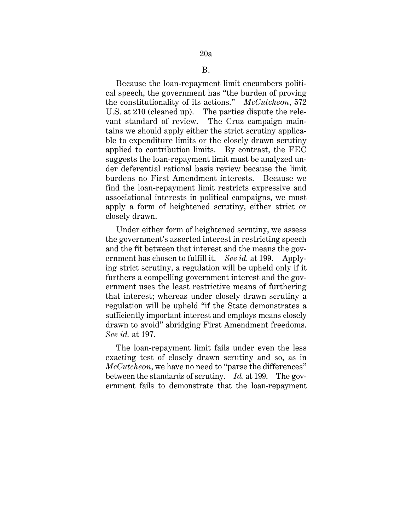Because the loan-repayment limit encumbers political speech, the government has "the burden of proving the constitutionality of its actions." *McCutcheon*, 572 U.S. at 210 (cleaned up). The parties dispute the relevant standard of review. The Cruz campaign maintains we should apply either the strict scrutiny applicable to expenditure limits or the closely drawn scrutiny applied to contribution limits. By contrast, the FEC suggests the loan-repayment limit must be analyzed under deferential rational basis review because the limit burdens no First Amendment interests. Because we find the loan-repayment limit restricts expressive and associational interests in political campaigns, we must apply a form of heightened scrutiny, either strict or closely drawn.

Under either form of heightened scrutiny, we assess the government's asserted interest in restricting speech and the fit between that interest and the means the government has chosen to fulfill it. *See id.* at 199. Applying strict scrutiny, a regulation will be upheld only if it furthers a compelling government interest and the government uses the least restrictive means of furthering that interest; whereas under closely drawn scrutiny a regulation will be upheld "if the State demonstrates a sufficiently important interest and employs means closely drawn to avoid" abridging First Amendment freedoms. *See id.* at 197.

The loan-repayment limit fails under even the less exacting test of closely drawn scrutiny and so, as in *McCutcheon*, we have no need to "parse the differences" between the standards of scrutiny. *Id.* at 199. The government fails to demonstrate that the loan-repayment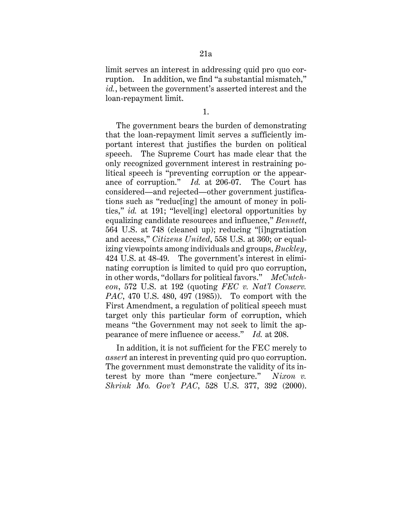limit serves an interest in addressing quid pro quo corruption. In addition, we find "a substantial mismatch," *id.*, between the government's asserted interest and the loan-repayment limit.

1.

The government bears the burden of demonstrating that the loan-repayment limit serves a sufficiently important interest that justifies the burden on political speech. The Supreme Court has made clear that the only recognized government interest in restraining political speech is "preventing corruption or the appearance of corruption." *Id.* at 206-07. The Court has considered—and rejected—other government justifications such as "reduc[ing] the amount of money in politics," *id.* at 191; "level[ing] electoral opportunities by equalizing candidate resources and influence," *Bennett*, 564 U.S. at 748 (cleaned up); reducing "[i]ngratiation and access," *Citizens United*, 558 U.S. at 360; or equalizing viewpoints among individuals and groups, *Buckley*, 424 U.S. at 48-49. The government's interest in eliminating corruption is limited to quid pro quo corruption, in other words, "dollars for political favors." *McCutcheon*, 572 U.S. at 192 (quoting *FEC v. Nat'l Conserv. PAC*, 470 U.S. 480, 497 (1985)). To comport with the First Amendment, a regulation of political speech must target only this particular form of corruption, which means "the Government may not seek to limit the appearance of mere influence or access." *Id.* at 208.

In addition, it is not sufficient for the FEC merely to *assert* an interest in preventing quid pro quo corruption. The government must demonstrate the validity of its interest by more than "mere conjecture." *Nixon v. Shrink Mo. Gov't PAC*, 528 U.S. 377, 392 (2000).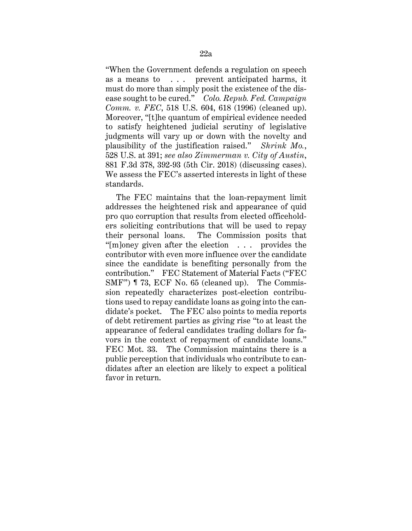"When the Government defends a regulation on speech as a means to . . . prevent anticipated harms, it must do more than simply posit the existence of the disease sought to be cured." *Colo. Repub. Fed. Campaign Comm. v. FEC*, 518 U.S. 604, 618 (1996) (cleaned up). Moreover, "[t]he quantum of empirical evidence needed to satisfy heightened judicial scrutiny of legislative judgments will vary up or down with the novelty and plausibility of the justification raised." *Shrink Mo.*, 528 U.S. at 391; *see also Zimmerman v. City of Austin*, 881 F.3d 378, 392-93 (5th Cir. 2018) (discussing cases). We assess the FEC's asserted interests in light of these standards.

The FEC maintains that the loan-repayment limit addresses the heightened risk and appearance of quid pro quo corruption that results from elected officeholders soliciting contributions that will be used to repay their personal loans. The Commission posits that "[m]oney given after the election . . . provides the contributor with even more influence over the candidate since the candidate is benefiting personally from the contribution." FEC Statement of Material Facts ("FEC SMF") ¶ 73, ECF No. 65 (cleaned up). The Commission repeatedly characterizes post-election contributions used to repay candidate loans as going into the candidate's pocket. The FEC also points to media reports of debt retirement parties as giving rise "to at least the appearance of federal candidates trading dollars for favors in the context of repayment of candidate loans." FEC Mot. 33. The Commission maintains there is a public perception that individuals who contribute to candidates after an election are likely to expect a political favor in return.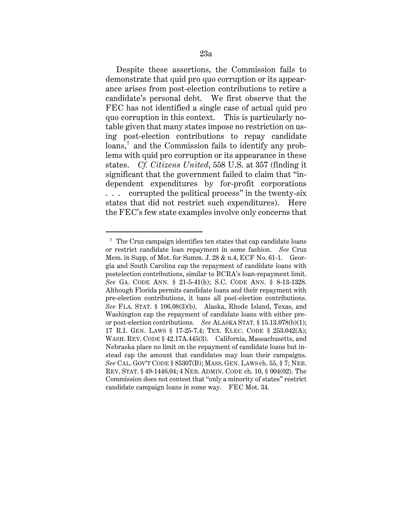Despite these assertions, the Commission fails to demonstrate that quid pro quo corruption or its appearance arises from post-election contributions to retire a candidate's personal debt. We first observe that the FEC has not identified a single case of actual quid pro quo corruption in this context. This is particularly notable given that many states impose no restriction on using post-election contributions to repay candidate loans,<sup>7</sup> and the Commission fails to identify any problems with quid pro corruption or its appearance in these states. *Cf. Citizens United*, 558 U.S. at 357 (finding it significant that the government failed to claim that "independent expenditures by for-profit corporations . . . corrupted the political process" in the twenty-six states that did not restrict such expenditures). Here the FEC's few state examples involve only concerns that

<sup>&</sup>lt;sup>7</sup> The Cruz campaign identifies ten states that cap candidate loans or restrict candidate loan repayment in some fashion. *See* Cruz Mem. in Supp. of Mot. for Summ. J. 28 & n.4, ECF No. 61-1. Georgia and South Carolina cap the repayment of candidate loans with postelection contributions, similar to BCRA's loan-repayment limit. *See* GA. CODE ANN. § 21-5-41(h); S.C. CODE ANN. § 8-13-1328. Although Florida permits candidate loans and their repayment with pre-election contributions, it bans all post-election contributions. *See* FLA. STAT. § 106.08(3)(b). Alaska, Rhode Island, Texas, and Washington cap the repayment of candidate loans with either preor post-election contributions. *See* ALASKA STAT. § 15.13.078(b)(1); 17 R.I. GEN. LAWS § 17-25-7.4; TEX. ELEC. CODE § 253.042(A); WASH. REV. CODE § 42.17A.445(3). California, Massachusetts, and Nebraska place no limit on the repayment of candidate loans but instead cap the amount that candidates may loan their campaigns. *See* CAL. GOV'T CODE § 85307(B); MASS. GEN. LAWS ch. 55, § 7; NEB. REV. STAT. § 49-1446.04; 4 NEB. ADMIN. CODE ch. 10, § 004(02). The Commission does not contest that "only a minority of states" restrict candidate campaign loans in some way. FEC Mot. 34.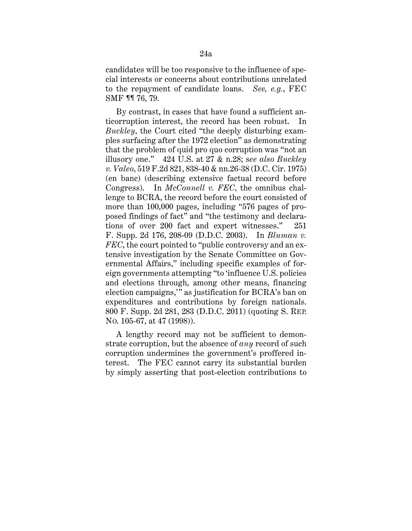candidates will be too responsive to the influence of special interests or concerns about contributions unrelated to the repayment of candidate loans. *See, e.g.*, FEC SMF ¶¶ 76, 79.

By contrast, in cases that have found a sufficient anticorruption interest, the record has been robust. In *Buckley*, the Court cited "the deeply disturbing examples surfacing after the 1972 election" as demonstrating that the problem of quid pro quo corruption was "not an illusory one." 424 U.S. at 27 & n.28; s*ee also Buckley v. Valeo*, 519 F.2d 821, 838-40 & nn.26-38 (D.C. Cir. 1975) (en banc) (describing extensive factual record before Congress). In *McConnell v. FEC*, the omnibus challenge to BCRA, the record before the court consisted of more than 100,000 pages, including "576 pages of proposed findings of fact" and "the testimony and declarations of over 200 fact and expert witnesses." 251 F. Supp. 2d 176, 208-09 (D.D.C. 2003). In *Bluman v. FEC*, the court pointed to "public controversy and an extensive investigation by the Senate Committee on Governmental Affairs," including specific examples of foreign governments attempting "to 'influence U.S. policies and elections through, among other means, financing election campaigns,'" as justification for BCRA's ban on expenditures and contributions by foreign nationals. 800 F. Supp. 2d 281, 283 (D.D.C. 2011) (quoting S. REP. NO. 105-67, at 47 (1998)).

A lengthy record may not be sufficient to demonstrate corruption, but the absence of *any* record of such corruption undermines the government's proffered interest. The FEC cannot carry its substantial burden by simply asserting that post-election contributions to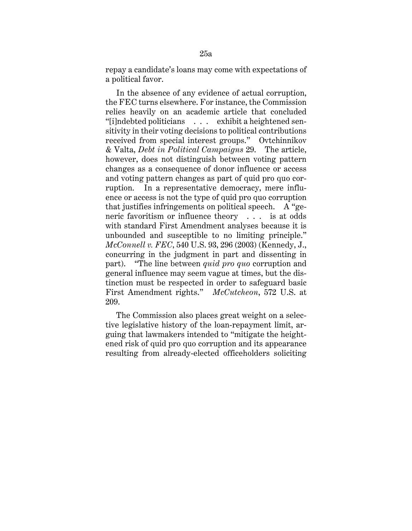repay a candidate's loans may come with expectations of a political favor.

In the absence of any evidence of actual corruption, the FEC turns elsewhere. For instance, the Commission relies heavily on an academic article that concluded "[i]ndebted politicians . . . exhibit a heightened sensitivity in their voting decisions to political contributions received from special interest groups." Ovtchinnikov & Valta, *Debt in Political Campaigns* 29. The article, however, does not distinguish between voting pattern changes as a consequence of donor influence or access and voting pattern changes as part of quid pro quo corruption. In a representative democracy, mere influence or access is not the type of quid pro quo corruption that justifies infringements on political speech. A "generic favoritism or influence theory . . . is at odds with standard First Amendment analyses because it is unbounded and susceptible to no limiting principle." *McConnell v. FEC*, 540 U.S. 93, 296 (2003) (Kennedy, J., concurring in the judgment in part and dissenting in part). "The line between *quid pro quo* corruption and general influence may seem vague at times, but the distinction must be respected in order to safeguard basic First Amendment rights." *McCutcheon*, 572 U.S. at 209.

The Commission also places great weight on a selective legislative history of the loan-repayment limit, arguing that lawmakers intended to "mitigate the heightened risk of quid pro quo corruption and its appearance resulting from already-elected officeholders soliciting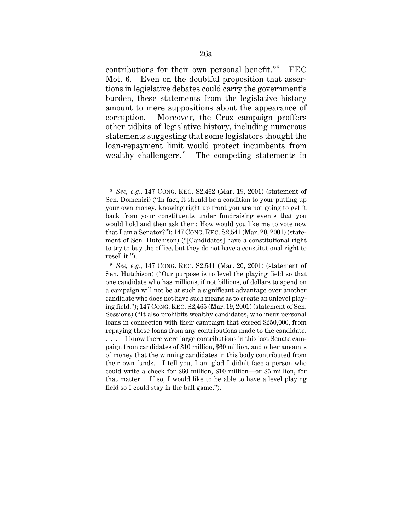contributions for their own personal benefit."<sup>8</sup> FEC Mot. 6. Even on the doubtful proposition that assertions in legislative debates could carry the government's burden, these statements from the legislative history amount to mere suppositions about the appearance of corruption. Moreover, the Cruz campaign proffers other tidbits of legislative history, including numerous statements suggesting that some legislators thought the loan-repayment limit would protect incumbents from wealthy challengers.<sup>9</sup> The competing statements in

<sup>8</sup> *See, e.g.*, 147 CONG. REC. S2,462 (Mar. 19, 2001) (statement of Sen. Domenici) ("In fact, it should be a condition to your putting up your own money, knowing right up front you are not going to get it back from your constituents under fundraising events that you would hold and then ask them: How would you like me to vote now that I am a Senator?"); 147 CONG. REC. S2,541 (Mar. 20, 2001) (statement of Sen. Hutchison) ("[Candidates] have a constitutional right to try to buy the office, but they do not have a constitutional right to resell it.").

<sup>9</sup> *See, e.g.*, 147 CONG. REC. S2,541 (Mar. 20, 2001) (statement of Sen. Hutchison) ("Our purpose is to level the playing field so that one candidate who has millions, if not billions, of dollars to spend on a campaign will not be at such a significant advantage over another candidate who does not have such means as to create an unlevel playing field."); 147 CONG. REC. S2,465 (Mar. 19, 2001) (statement of Sen. Sessions) ("It also prohibits wealthy candidates, who incur personal loans in connection with their campaign that exceed \$250,000, from repaying those loans from any contributions made to the candidate. . . . I know there were large contributions in this last Senate campaign from candidates of \$10 million, \$60 million, and other amounts of money that the winning candidates in this body contributed from their own funds. I tell you, I am glad I didn't face a person who could write a check for \$60 million, \$10 million—or \$5 million, for that matter. If so, I would like to be able to have a level playing field so I could stay in the ball game.").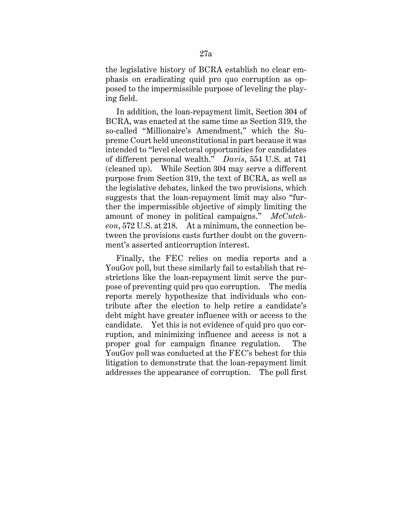the legislative history of BCRA establish no clear emphasis on eradicating quid pro quo corruption as opposed to the impermissible purpose of leveling the playing field.

In addition, the loan-repayment limit, Section 304 of BCRA, was enacted at the same time as Section 319, the so-called "Millionaire's Amendment," which the Supreme Court held unconstitutional in part because it was intended to "level electoral opportunities for candidates of different personal wealth." *Davis*, 554 U.S. at 741 (cleaned up). While Section 304 may serve a different purpose from Section 319, the text of BCRA, as well as the legislative debates, linked the two provisions, which suggests that the loan-repayment limit may also "further the impermissible objective of simply limiting the amount of money in political campaigns." *McCutcheon*, 572 U.S. at 218. At a minimum, the connection between the provisions casts further doubt on the government's asserted anticorruption interest.

Finally, the FEC relies on media reports and a YouGov poll, but these similarly fail to establish that restrictions like the loan-repayment limit serve the purpose of preventing quid pro quo corruption. The media reports merely hypothesize that individuals who contribute after the election to help retire a candidate's debt might have greater influence with or access to the candidate. Yet this is not evidence of quid pro quo corruption, and minimizing influence and access is not a proper goal for campaign finance regulation. The YouGov poll was conducted at the FEC's behest for this litigation to demonstrate that the loan-repayment limit addresses the appearance of corruption. The poll first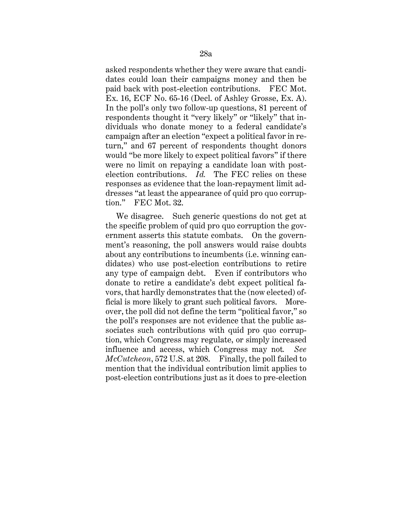asked respondents whether they were aware that candidates could loan their campaigns money and then be paid back with post-election contributions. FEC Mot. Ex. 16, ECF No. 65-16 (Decl. of Ashley Grosse, Ex. A). In the poll's only two follow-up questions, 81 percent of respondents thought it "very likely" or "likely" that individuals who donate money to a federal candidate's campaign after an election "expect a political favor in return," and 67 percent of respondents thought donors would "be more likely to expect political favors" if there were no limit on repaying a candidate loan with postelection contributions. *Id.* The FEC relies on these responses as evidence that the loan-repayment limit addresses "at least the appearance of quid pro quo corruption." FEC Mot. 32.

We disagree. Such generic questions do not get at the specific problem of quid pro quo corruption the government asserts this statute combats. On the government's reasoning, the poll answers would raise doubts about any contributions to incumbents (i.e. winning candidates) who use post-election contributions to retire any type of campaign debt. Even if contributors who donate to retire a candidate's debt expect political favors, that hardly demonstrates that the (now elected) official is more likely to grant such political favors. Moreover, the poll did not define the term "political favor," so the poll's responses are not evidence that the public associates such contributions with quid pro quo corruption, which Congress may regulate, or simply increased influence and access, which Congress may not*. See McCutcheon*, 572 U.S. at 208. Finally, the poll failed to mention that the individual contribution limit applies to post-election contributions just as it does to pre-election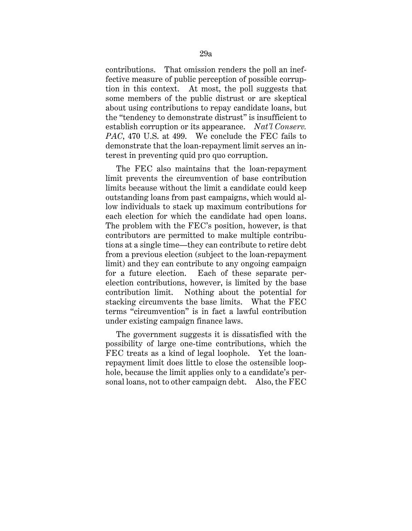contributions. That omission renders the poll an ineffective measure of public perception of possible corruption in this context. At most, the poll suggests that some members of the public distrust or are skeptical about using contributions to repay candidate loans, but the "tendency to demonstrate distrust" is insufficient to establish corruption or its appearance. *Nat'l Conserv. PAC*, 470 U.S. at 499. We conclude the FEC fails to demonstrate that the loan-repayment limit serves an interest in preventing quid pro quo corruption.

The FEC also maintains that the loan-repayment limit prevents the circumvention of base contribution limits because without the limit a candidate could keep outstanding loans from past campaigns, which would allow individuals to stack up maximum contributions for each election for which the candidate had open loans. The problem with the FEC's position, however, is that contributors are permitted to make multiple contributions at a single time—they can contribute to retire debt from a previous election (subject to the loan-repayment limit) and they can contribute to any ongoing campaign for a future election. Each of these separate perelection contributions, however, is limited by the base contribution limit. Nothing about the potential for stacking circumvents the base limits. What the FEC terms "circumvention" is in fact a lawful contribution under existing campaign finance laws.

The government suggests it is dissatisfied with the possibility of large one-time contributions, which the FEC treats as a kind of legal loophole. Yet the loanrepayment limit does little to close the ostensible loophole, because the limit applies only to a candidate's personal loans, not to other campaign debt. Also, the FEC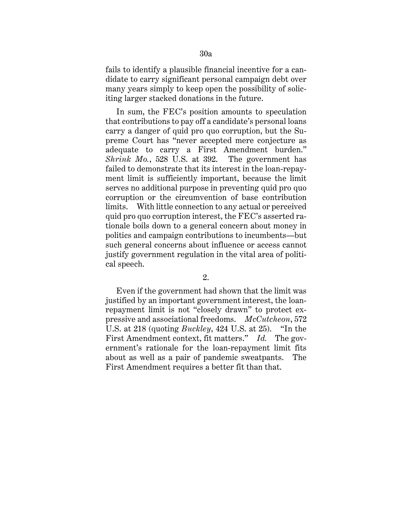fails to identify a plausible financial incentive for a candidate to carry significant personal campaign debt over many years simply to keep open the possibility of soliciting larger stacked donations in the future.

In sum, the FEC's position amounts to speculation that contributions to pay off a candidate's personal loans carry a danger of quid pro quo corruption, but the Supreme Court has "never accepted mere conjecture as adequate to carry a First Amendment burden." *Shrink Mo.*, 528 U.S. at 392. The government has failed to demonstrate that its interest in the loan-repayment limit is sufficiently important, because the limit serves no additional purpose in preventing quid pro quo corruption or the circumvention of base contribution limits. With little connection to any actual or perceived quid pro quo corruption interest, the FEC's asserted rationale boils down to a general concern about money in politics and campaign contributions to incumbents—but such general concerns about influence or access cannot justify government regulation in the vital area of political speech.

Even if the government had shown that the limit was justified by an important government interest, the loanrepayment limit is not "closely drawn" to protect expressive and associational freedoms. *McCutcheon*, 572 U.S. at 218 (quoting *Buckley*, 424 U.S. at 25). "In the First Amendment context, fit matters." *Id.* The government's rationale for the loan-repayment limit fits about as well as a pair of pandemic sweatpants. The First Amendment requires a better fit than that.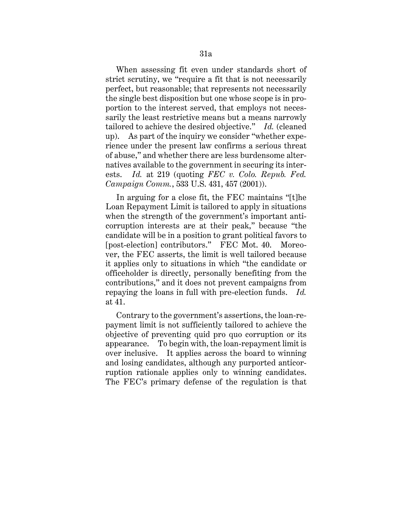When assessing fit even under standards short of strict scrutiny, we "require a fit that is not necessarily perfect, but reasonable; that represents not necessarily the single best disposition but one whose scope is in proportion to the interest served, that employs not necessarily the least restrictive means but a means narrowly tailored to achieve the desired objective." *Id.* (cleaned up). As part of the inquiry we consider "whether experience under the present law confirms a serious threat of abuse," and whether there are less burdensome alternatives available to the government in securing its interests. *Id.* at 219 (quoting *FEC v. Colo. Repub. Fed. Campaign Comm.*, 533 U.S. 431, 457 (2001)).

In arguing for a close fit, the FEC maintains "[t]he Loan Repayment Limit is tailored to apply in situations when the strength of the government's important anticorruption interests are at their peak," because "the candidate will be in a position to grant political favors to [post-election] contributors." FEC Mot. 40. Moreover, the FEC asserts, the limit is well tailored because it applies only to situations in which "the candidate or officeholder is directly, personally benefiting from the contributions," and it does not prevent campaigns from repaying the loans in full with pre-election funds. *Id.*  at 41.

Contrary to the government's assertions, the loan-repayment limit is not sufficiently tailored to achieve the objective of preventing quid pro quo corruption or its appearance. To begin with, the loan-repayment limit is over inclusive. It applies across the board to winning and losing candidates, although any purported anticorruption rationale applies only to winning candidates. The FEC's primary defense of the regulation is that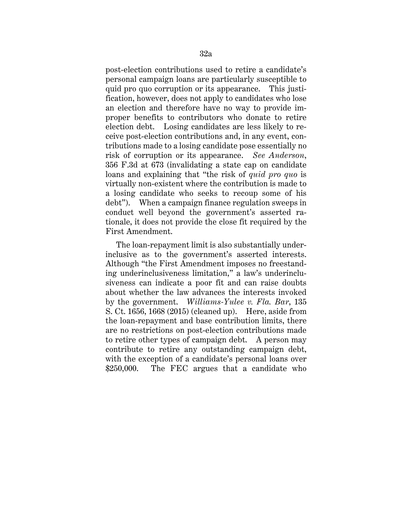post-election contributions used to retire a candidate's personal campaign loans are particularly susceptible to quid pro quo corruption or its appearance. This justification, however, does not apply to candidates who lose an election and therefore have no way to provide improper benefits to contributors who donate to retire election debt. Losing candidates are less likely to receive post-election contributions and, in any event, contributions made to a losing candidate pose essentially no risk of corruption or its appearance. *See Anderson*, 356 F.3d at 673 (invalidating a state cap on candidate loans and explaining that "the risk of *quid pro quo* is virtually non-existent where the contribution is made to a losing candidate who seeks to recoup some of his debt"). When a campaign finance regulation sweeps in conduct well beyond the government's asserted rationale, it does not provide the close fit required by the First Amendment.

The loan-repayment limit is also substantially underinclusive as to the government's asserted interests. Although "the First Amendment imposes no freestanding underinclusiveness limitation," a law's underinclusiveness can indicate a poor fit and can raise doubts about whether the law advances the interests invoked by the government. *Williams-Yulee v. Fla. Bar*, 135 S. Ct. 1656, 1668 (2015) (cleaned up). Here, aside from the loan-repayment and base contribution limits, there are no restrictions on post-election contributions made to retire other types of campaign debt. A person may contribute to retire any outstanding campaign debt, with the exception of a candidate's personal loans over \$250,000. The FEC argues that a candidate who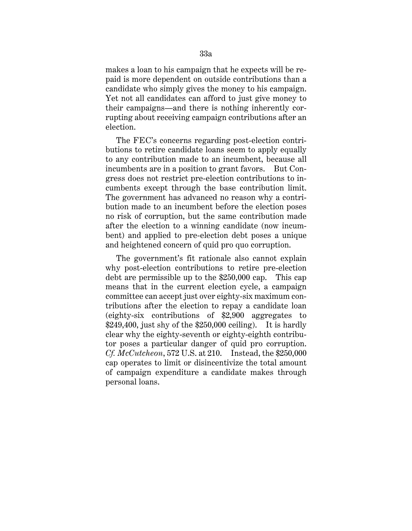makes a loan to his campaign that he expects will be repaid is more dependent on outside contributions than a candidate who simply gives the money to his campaign. Yet not all candidates can afford to just give money to their campaigns—and there is nothing inherently corrupting about receiving campaign contributions after an election.

The FEC's concerns regarding post-election contributions to retire candidate loans seem to apply equally to any contribution made to an incumbent, because all incumbents are in a position to grant favors. But Congress does not restrict pre-election contributions to incumbents except through the base contribution limit. The government has advanced no reason why a contribution made to an incumbent before the election poses no risk of corruption, but the same contribution made after the election to a winning candidate (now incumbent) and applied to pre-election debt poses a unique and heightened concern of quid pro quo corruption.

The government's fit rationale also cannot explain why post-election contributions to retire pre-election debt are permissible up to the \$250,000 cap. This cap means that in the current election cycle, a campaign committee can accept just over eighty-six maximum contributions after the election to repay a candidate loan (eighty-six contributions of \$2,900 aggregates to  $$249,400$ , just shy of the  $$250,000$  ceiling). It is hardly clear why the eighty-seventh or eighty-eighth contributor poses a particular danger of quid pro corruption. *Cf. McCutcheon*, 572 U.S. at 210. Instead, the \$250,000 cap operates to limit or disincentivize the total amount of campaign expenditure a candidate makes through personal loans.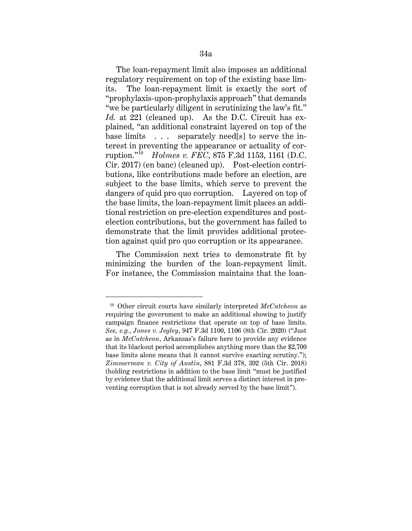The loan-repayment limit also imposes an additional regulatory requirement on top of the existing base limits. The loan-repayment limit is exactly the sort of "prophylaxis-upon-prophylaxis approach" that demands "we be particularly diligent in scrutinizing the law's fit." *Id.* at 221 (cleaned up). As the D.C. Circuit has explained, "an additional constraint layered on top of the base limits . . . separately need[s] to serve the interest in preventing the appearance or actuality of corruption."10 *Holmes v. FEC*, 875 F.3d 1153, 1161 (D.C. Cir. 2017) (en banc) (cleaned up). Post-election contributions, like contributions made before an election, are subject to the base limits, which serve to prevent the dangers of quid pro quo corruption. Layered on top of the base limits, the loan-repayment limit places an additional restriction on pre-election expenditures and postelection contributions, but the government has failed to demonstrate that the limit provides additional protection against quid pro quo corruption or its appearance.

The Commission next tries to demonstrate fit by minimizing the burden of the loan-repayment limit. For instance, the Commission maintains that the loan-

<sup>10</sup> Other circuit courts have similarly interpreted *McCutcheon* as requiring the government to make an additional showing to justify campaign finance restrictions that operate on top of base limits. *See, e.g.*, *Jones v. Jegley*, 947 F.3d 1100, 1106 (8th Cir. 2020) ("Just as in *McCutcheon*, Arkansas's failure here to provide any evidence that its blackout period accomplishes anything more than the \$2,700 base limits alone means that it cannot survive exacting scrutiny."); *Zimmerman v. City of Austin*, 881 F.3d 378, 392 (5th Cir. 2018) (holding restrictions in addition to the base limit "must be justified by evidence that the additional limit serves a distinct interest in preventing corruption that is not already served by the base limit").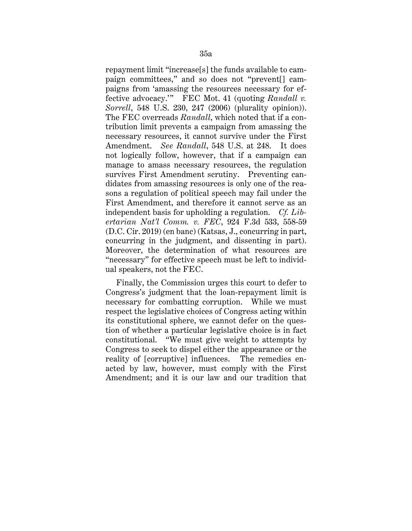repayment limit "increase[s] the funds available to campaign committees," and so does not "prevent[] campaigns from 'amassing the resources necessary for effective advocacy.'" FEC Mot. 41 (quoting *Randall v. Sorrell*, 548 U.S. 230, 247 (2006) (plurality opinion)). The FEC overreads *Randall*, which noted that if a contribution limit prevents a campaign from amassing the necessary resources, it cannot survive under the First Amendment. *See Randall*, 548 U.S. at 248. It does not logically follow, however, that if a campaign can manage to amass necessary resources, the regulation survives First Amendment scrutiny. Preventing candidates from amassing resources is only one of the reasons a regulation of political speech may fail under the First Amendment, and therefore it cannot serve as an independent basis for upholding a regulation. *Cf. Libertarian Nat'l Comm. v. FEC*, 924 F.3d 533, 558-59 (D.C. Cir. 2019) (en banc) (Katsas, J., concurring in part, concurring in the judgment, and dissenting in part). Moreover, the determination of what resources are "necessary" for effective speech must be left to individual speakers, not the FEC.

Finally, the Commission urges this court to defer to Congress's judgment that the loan-repayment limit is necessary for combatting corruption. While we must respect the legislative choices of Congress acting within its constitutional sphere, we cannot defer on the question of whether a particular legislative choice is in fact constitutional. "We must give weight to attempts by Congress to seek to dispel either the appearance or the reality of [corruptive] influences. The remedies enacted by law, however, must comply with the First Amendment; and it is our law and our tradition that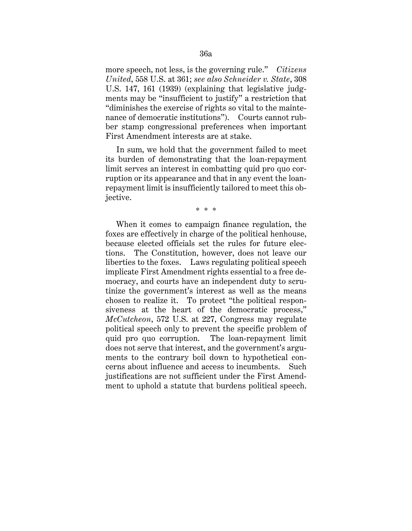more speech, not less, is the governing rule." *Citizens United*, 558 U.S. at 361; *see also Schneider v. State*, 308 U.S. 147, 161 (1939) (explaining that legislative judgments may be "insufficient to justify" a restriction that "diminishes the exercise of rights so vital to the maintenance of democratic institutions"). Courts cannot rubber stamp congressional preferences when important First Amendment interests are at stake.

In sum, we hold that the government failed to meet its burden of demonstrating that the loan-repayment limit serves an interest in combatting quid pro quo corruption or its appearance and that in any event the loanrepayment limit is insufficiently tailored to meet this objective.

\* \* \*

When it comes to campaign finance regulation, the foxes are effectively in charge of the political henhouse, because elected officials set the rules for future elections. The Constitution, however, does not leave our liberties to the foxes. Laws regulating political speech implicate First Amendment rights essential to a free democracy, and courts have an independent duty to scrutinize the government's interest as well as the means chosen to realize it. To protect "the political responsiveness at the heart of the democratic process," *McCutcheon*, 572 U.S. at 227, Congress may regulate political speech only to prevent the specific problem of quid pro quo corruption. The loan-repayment limit does not serve that interest, and the government's arguments to the contrary boil down to hypothetical concerns about influence and access to incumbents. Such justifications are not sufficient under the First Amendment to uphold a statute that burdens political speech.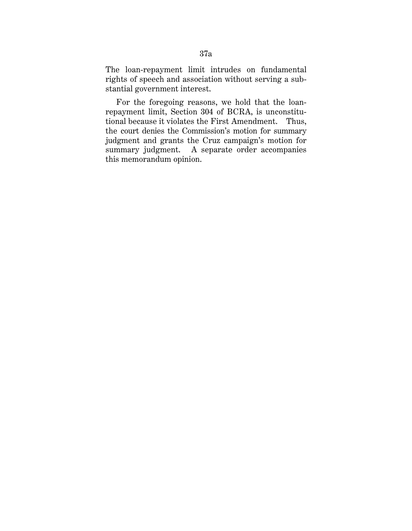The loan-repayment limit intrudes on fundamental rights of speech and association without serving a substantial government interest.

For the foregoing reasons, we hold that the loanrepayment limit, Section 304 of BCRA, is unconstitutional because it violates the First Amendment. Thus, the court denies the Commission's motion for summary judgment and grants the Cruz campaign's motion for summary judgment. A separate order accompanies this memorandum opinion.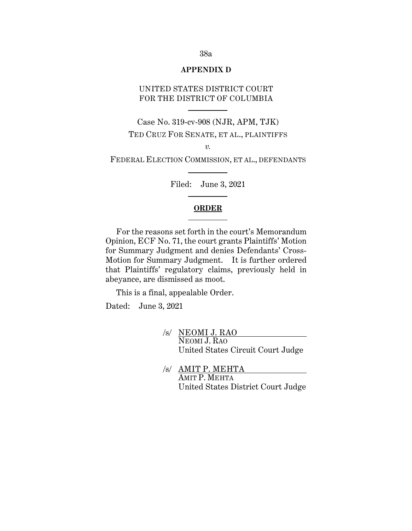#### **APPENDIX D**

# UNITED STATES DISTRICT COURT FOR THE DISTRICT OF COLUMBIA

Case No. 319-cv-908 (NJR, APM, TJK) TED CRUZ FOR SENATE, ET AL., PLAINTIFFS

*v.*

FEDERAL ELECTION COMMISSION, ET AL., DEFENDANTS

Filed: June 3, 2021

## **ORDER**

For the reasons set forth in the court's Memorandum Opinion, ECF No. 71, the court grants Plaintiffs' Motion for Summary Judgment and denies Defendants' Cross-Motion for Summary Judgment. It is further ordered that Plaintiffs' regulatory claims, previously held in abeyance, are dismissed as moot.

This is a final, appealable Order.

Dated: June 3, 2021

- /s/ NEOMI J. RAO NEOMI J. RAO United States Circuit Court Judge
- /s/ AMIT P. MEHTA AMIT P. MEHTA United States District Court Judge

#### 38a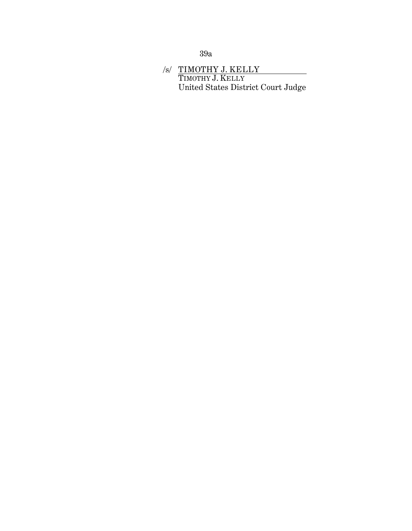39a

# /s/ TIMOTHY J. KELLY TIMOTHY J. KELLY United States District Court Judge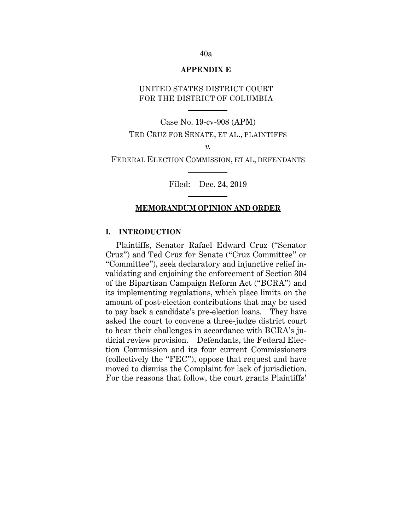#### **APPENDIX E**

# UNITED STATES DISTRICT COURT FOR THE DISTRICT OF COLUMBIA

Case No. 19-cv-908 (APM) TED CRUZ FOR SENATE, ET AL., PLAINTIFFS *v.*

FEDERAL ELECTION COMMISSION, ET AL, DEFENDANTS

Filed: Dec. 24, 2019

## **MEMORANDUM OPINION AND ORDER**

# **I. INTRODUCTION**

Plaintiffs, Senator Rafael Edward Cruz ("Senator Cruz") and Ted Cruz for Senate ("Cruz Committee" or "Committee"), seek declaratory and injunctive relief invalidating and enjoining the enforcement of Section 304 of the Bipartisan Campaign Reform Act ("BCRA") and its implementing regulations, which place limits on the amount of post-election contributions that may be used to pay back a candidate's pre-election loans. They have asked the court to convene a three-judge district court to hear their challenges in accordance with BCRA's judicial review provision. Defendants, the Federal Election Commission and its four current Commissioners (collectively the "FEC"), oppose that request and have moved to dismiss the Complaint for lack of jurisdiction. For the reasons that follow, the court grants Plaintiffs'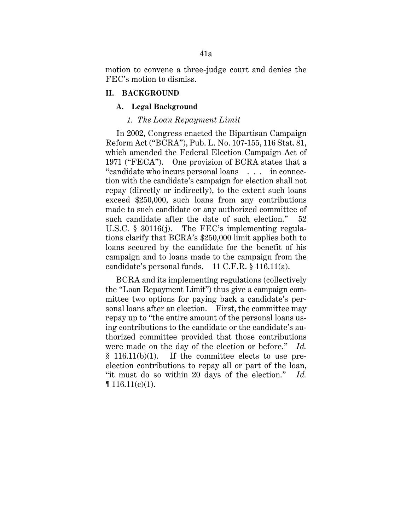motion to convene a three-judge court and denies the FEC's motion to dismiss.

### **II. BACKGROUND**

#### **A. Legal Background**

### *1. The Loan Repayment Limit*

In 2002, Congress enacted the Bipartisan Campaign Reform Act ("BCRA"), Pub. L. No. 107-155, 116 Stat. 81, which amended the Federal Election Campaign Act of 1971 ("FECA"). One provision of BCRA states that a "candidate who incurs personal loans . . . in connection with the candidate's campaign for election shall not repay (directly or indirectly), to the extent such loans exceed \$250,000, such loans from any contributions made to such candidate or any authorized committee of such candidate after the date of such election." 52 U.S.C. § 30116(j). The FEC's implementing regulations clarify that BCRA's \$250,000 limit applies both to loans secured by the candidate for the benefit of his campaign and to loans made to the campaign from the candidate's personal funds. 11 C.F.R. § 116.11(a).

BCRA and its implementing regulations (collectively the "Loan Repayment Limit") thus give a campaign committee two options for paying back a candidate's personal loans after an election. First, the committee may repay up to "the entire amount of the personal loans using contributions to the candidate or the candidate's authorized committee provided that those contributions were made on the day of the election or before." *Id.*  § 116.11(b)(1). If the committee elects to use preelection contributions to repay all or part of the loan, "it must do so within 20 days of the election." *Id.*   $\P$  116.11(c)(1).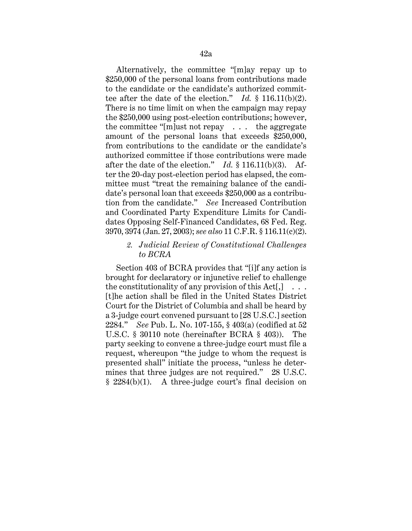Alternatively, the committee "[m]ay repay up to \$250,000 of the personal loans from contributions made to the candidate or the candidate's authorized committee after the date of the election." *Id.* § 116.11(b)(2). There is no time limit on when the campaign may repay the \$250,000 using post-election contributions; however, the committee "[m]ust not repay . . . the aggregate amount of the personal loans that exceeds \$250,000, from contributions to the candidate or the candidate's authorized committee if those contributions were made after the date of the election." *Id.* § 116.11(b)(3). After the 20-day post-election period has elapsed, the committee must "treat the remaining balance of the candidate's personal loan that exceeds \$250,000 as a contribution from the candidate." *See* Increased Contribution and Coordinated Party Expenditure Limits for Candidates Opposing Self-Financed Candidates, 68 Fed. Reg. 3970, 3974 (Jan. 27, 2003); *see also* 11 C.F.R. § 116.11(c)(2).

# *2. Judicial Review of Constitutional Challenges to BCRA*

Section 403 of BCRA provides that "[i]f any action is brought for declaratory or injunctive relief to challenge the constitutionality of any provision of this  $Act[.] \ldots$ [t]he action shall be filed in the United States District Court for the District of Columbia and shall be heard by a 3-judge court convened pursuant to [28 U.S.C.] section 2284." *See* Pub. L. No. 107-155, § 403(a) (codified at 52 U.S.C. § 30110 note (hereinafter BCRA § 403)). The party seeking to convene a three-judge court must file a request, whereupon "the judge to whom the request is presented shall" initiate the process, "unless he determines that three judges are not required." 28 U.S.C. § 2284(b)(1). A three-judge court's final decision on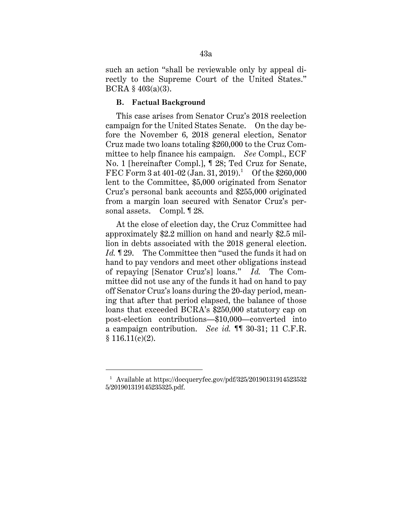such an action "shall be reviewable only by appeal directly to the Supreme Court of the United States." BCRA § 403(a)(3).

### **B. Factual Background**

This case arises from Senator Cruz's 2018 reelection campaign for the United States Senate. On the day before the November 6, 2018 general election, Senator Cruz made two loans totaling \$260,000 to the Cruz Committee to help finance his campaign. *See* Compl., ECF No. 1 [hereinafter Compl.], ¶ 28; Ted Cruz for Senate, FEC Form 3 at 401-02 (Jan. 31, 2019).<sup>1</sup> Of the \$260,000 lent to the Committee, \$5,000 originated from Senator Cruz's personal bank accounts and \$255,000 originated from a margin loan secured with Senator Cruz's personal assets. Compl. ¶ 28.

At the close of election day, the Cruz Committee had approximately \$2.2 million on hand and nearly \$2.5 million in debts associated with the 2018 general election. *Id.* **129.** The Committee then "used the funds it had on hand to pay vendors and meet other obligations instead of repaying [Senator Cruz's] loans." *Id.* The Committee did not use any of the funds it had on hand to pay off Senator Cruz's loans during the 20-day period, meaning that after that period elapsed, the balance of those loans that exceeded BCRA's \$250,000 statutory cap on post-election contributions—\$10,000—converted into a campaign contribution. *See id.* ¶¶ 30-31; 11 C.F.R.  $$116.11(c)(2).$ 

<sup>1</sup> Available at https://docqueryfec.gov/pdf/325/20190131914523532 5/201901319145235325.pdf.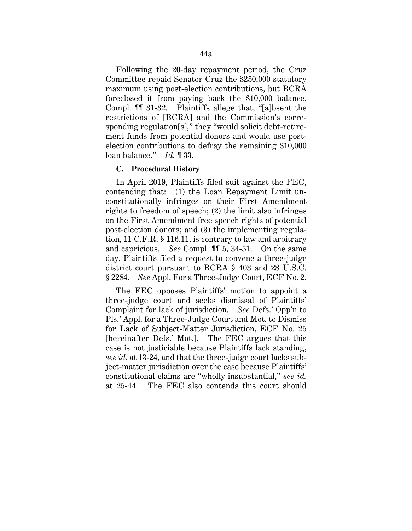Following the 20-day repayment period, the Cruz Committee repaid Senator Cruz the \$250,000 statutory maximum using post-election contributions, but BCRA foreclosed it from paying back the \$10,000 balance. Compl. ¶¶ 31-32. Plaintiffs allege that, "[a]bsent the restrictions of [BCRA] and the Commission's corresponding regulation[s]," they "would solicit debt-retirement funds from potential donors and would use postelection contributions to defray the remaining \$10,000 loan balance." *Id.* ¶ 33.

### **C. Procedural History**

In April 2019, Plaintiffs filed suit against the FEC, contending that: (1) the Loan Repayment Limit unconstitutionally infringes on their First Amendment rights to freedom of speech; (2) the limit also infringes on the First Amendment free speech rights of potential post-election donors; and (3) the implementing regulation, 11 C.F.R. § 116.11, is contrary to law and arbitrary and capricious. *See* Compl. ¶¶ 5, 34-51. On the same day, Plaintiffs filed a request to convene a three-judge district court pursuant to BCRA § 403 and 28 U.S.C. § 2284. *See* Appl. For a Three-Judge Court, ECF No. 2.

The FEC opposes Plaintiffs' motion to appoint a three-judge court and seeks dismissal of Plaintiffs' Complaint for lack of jurisdiction. *See* Defs.' Opp'n to Pls.' Appl. for a Three-Judge Court and Mot. to Dismiss for Lack of Subject-Matter Jurisdiction, ECF No. 25 [hereinafter Defs.' Mot.]. The FEC argues that this case is not justiciable because Plaintiffs lack standing, *see id.* at 13-24, and that the three-judge court lacks subject-matter jurisdiction over the case because Plaintiffs' constitutional claims are "wholly insubstantial," *see id.*  at 25-44. The FEC also contends this court should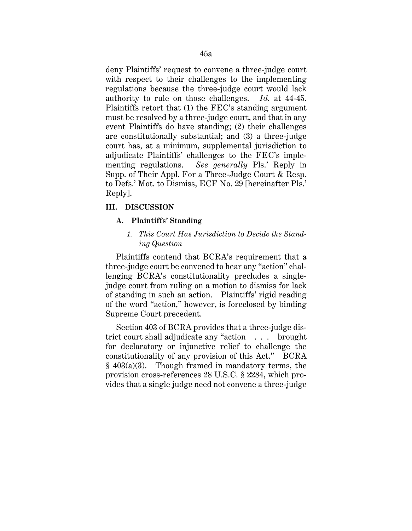deny Plaintiffs' request to convene a three-judge court with respect to their challenges to the implementing regulations because the three-judge court would lack authority to rule on those challenges. *Id.* at 44-45. Plaintiffs retort that (1) the FEC's standing argument must be resolved by a three-judge court, and that in any event Plaintiffs do have standing; (2) their challenges are constitutionally substantial; and (3) a three-judge court has, at a minimum, supplemental jurisdiction to adjudicate Plaintiffs' challenges to the FEC's implementing regulations. *See generally* Pls.' Reply in Supp. of Their Appl. For a Three-Judge Court & Resp. to Defs.' Mot. to Dismiss, ECF No. 29 [hereinafter Pls.' Reply].

# **III. DISCUSSION**

### **A. Plaintiffs' Standing**

# *1. This Court Has Jurisdiction to Decide the Standing Question*

Plaintiffs contend that BCRA's requirement that a three-judge court be convened to hear any "action" challenging BCRA's constitutionality precludes a singlejudge court from ruling on a motion to dismiss for lack of standing in such an action. Plaintiffs' rigid reading of the word "action," however, is foreclosed by binding Supreme Court precedent.

Section 403 of BCRA provides that a three-judge district court shall adjudicate any "action . . . brought for declaratory or injunctive relief to challenge the constitutionality of any provision of this Act." BCRA  $§$  403(a)(3). Though framed in mandatory terms, the provision cross-references 28 U.S.C. § 2284, which provides that a single judge need not convene a three-judge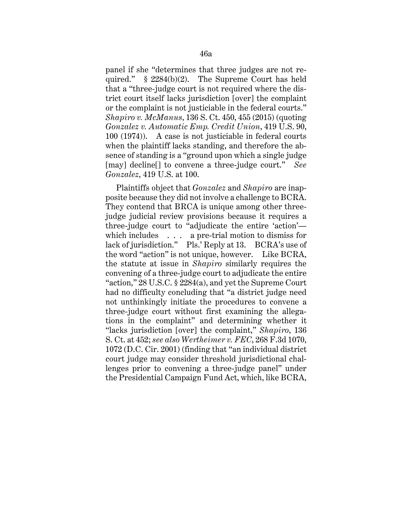panel if she "determines that three judges are not required." § 2284(b)(2). The Supreme Court has held that a "three-judge court is not required where the district court itself lacks jurisdiction [over] the complaint or the complaint is not justiciable in the federal courts." *Shapiro v. McManus*, 136 S. Ct. 450, 455 (2015) (quoting *Gonzalez v. Automatic Emp. Credit Union*, 419 U.S. 90, 100 (1974)). A case is not justiciable in federal courts when the plaintiff lacks standing, and therefore the absence of standing is a "ground upon which a single judge [may] decline[] to convene a three-judge court." *See Gonzalez*, 419 U.S. at 100.

Plaintiffs object that *Gonzalez* and *Shapiro* are inapposite because they did not involve a challenge to BCRA. They contend that BRCA is unique among other threejudge judicial review provisions because it requires a three-judge court to "adjudicate the entire 'action' which includes . . . a pre-trial motion to dismiss for lack of jurisdiction." Pls.' Reply at 13. BCRA's use of the word "action" is not unique, however. Like BCRA, the statute at issue in *Shapiro* similarly requires the convening of a three-judge court to adjudicate the entire "action," 28 U.S.C. § 2284(a), and yet the Supreme Court had no difficulty concluding that "a district judge need not unthinkingly initiate the procedures to convene a three-judge court without first examining the allegations in the complaint" and determining whether it "lacks jurisdiction [over] the complaint," *Shapiro*, 136 S. Ct. at 452; *see also Wertheimer v. FEC*, 268 F.3d 1070, 1072 (D.C. Cir. 2001) (finding that "an individual district court judge may consider threshold jurisdictional challenges prior to convening a three-judge panel" under the Presidential Campaign Fund Act, which, like BCRA,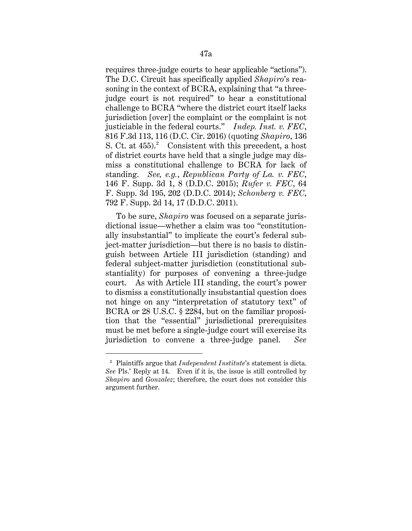requires three-judge courts to hear applicable "actions"). The D.C. Circuit has specifically applied *Shapiro*'s reasoning in the context of BCRA, explaining that "a threejudge court is not required" to hear a constitutional challenge to BCRA "where the district court itself lacks jurisdiction [over] the complaint or the complaint is not justiciable in the federal courts." *Indep. Inst. v. FEC*, 816 F.3d 113, 116 (D.C. Cir. 2016) (quoting *Shapiro*, 136 S. Ct. at  $455$ .<sup>2</sup> Consistent with this precedent, a host of district courts have held that a single judge may dismiss a constitutional challenge to BCRA for lack of standing. *See, e.g.*, *Republican Party of La. v. FEC*, 146 F. Supp. 3d 1, 8 (D.D.C. 2015); *Rufer v. FEC*, 64 F. Supp. 3d 195, 202 (D.D.C. 2014); *Schonberg v. FEC*, 792 F. Supp. 2d 14, 17 (D.D.C. 2011).

To be sure, *Shapiro* was focused on a separate jurisdictional issue—whether a claim was too "constitutionally insubstantial" to implicate the court's federal subject-matter jurisdiction—but there is no basis to distinguish between Article III jurisdiction (standing) and federal subject-matter jurisdiction (constitutional substantiality) for purposes of convening a three-judge court. As with Article III standing, the court's power to dismiss a constitutionally insubstantial question does not hinge on any "interpretation of statutory text" of BCRA or 28 U.S.C. § 2284, but on the familiar proposition that the "essential" jurisdictional prerequisites must be met before a single-judge court will exercise its jurisdiction to convene a three-judge panel. *See* 

<sup>2</sup> Plaintiffs argue that *Independent Institute*'s statement is dicta. *See* Pls.' Reply at 14. Even if it is, the issue is still controlled by *Shapiro* and *Gonzalez*; therefore, the court does not consider this argument further.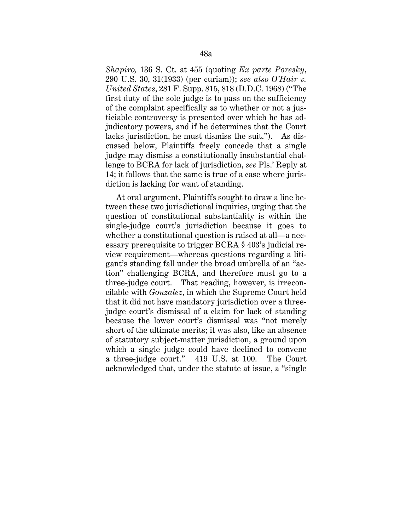*Shapiro,* 136 S. Ct. at 455 (quoting *Ex parte Poresky*, 290 U.S. 30, 31(1933) (per curiam)); *see also O'Hair v. United States*, 281 F. Supp. 815, 818 (D.D.C. 1968) ("The first duty of the sole judge is to pass on the sufficiency of the complaint specifically as to whether or not a justiciable controversy is presented over which he has adjudicatory powers, and if he determines that the Court lacks jurisdiction, he must dismiss the suit."). As discussed below, Plaintiffs freely concede that a single judge may dismiss a constitutionally insubstantial challenge to BCRA for lack of jurisdiction, *see* Pls.' Reply at 14; it follows that the same is true of a case where jurisdiction is lacking for want of standing.

At oral argument, Plaintiffs sought to draw a line between these two jurisdictional inquiries, urging that the question of constitutional substantiality is within the single-judge court's jurisdiction because it goes to whether a constitutional question is raised at all—a necessary prerequisite to trigger BCRA § 403's judicial review requirement—whereas questions regarding a litigant's standing fall under the broad umbrella of an "action" challenging BCRA, and therefore must go to a three-judge court. That reading, however, is irreconcilable with *Gonzalez*, in which the Supreme Court held that it did not have mandatory jurisdiction over a threejudge court's dismissal of a claim for lack of standing because the lower court's dismissal was "not merely short of the ultimate merits; it was also, like an absence of statutory subject-matter jurisdiction, a ground upon which a single judge could have declined to convene a three-judge court." 419 U.S. at 100. The Court acknowledged that, under the statute at issue, a "single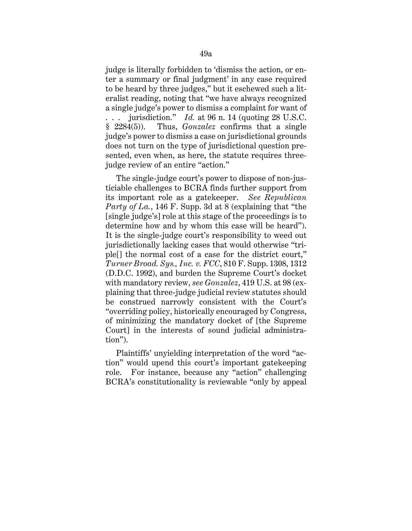judge is literally forbidden to 'dismiss the action, or enter a summary or final judgment' in any case required to be heard by three judges," but it eschewed such a literalist reading, noting that "we have always recognized a single judge's power to dismiss a complaint for want of jurisdiction."  $Id.$  at 96 n. 14 (quoting 28 U.S.C.) § 2284(5)). Thus, *Gonzalez* confirms that a single judge's power to dismiss a case on jurisdictional grounds does not turn on the type of jurisdictional question presented, even when, as here, the statute requires threejudge review of an entire "action."

The single-judge court's power to dispose of non-justiciable challenges to BCRA finds further support from its important role as a gatekeeper. *See Republican Party of La.*, 146 F. Supp. 3d at 8 (explaining that "the [single judge's] role at this stage of the proceedings is to determine how and by whom this case will be heard"). It is the single-judge court's responsibility to weed out jurisdictionally lacking cases that would otherwise "triple[] the normal cost of a case for the district court," *Turner Broad. Sys., Inc. v. FCC*, 810 F. Supp. 1308, 1312 (D.D.C. 1992), and burden the Supreme Court's docket with mandatory review, *see Gonzalez*, 419 U.S. at 98 (explaining that three-judge judicial review statutes should be construed narrowly consistent with the Court's "overriding policy, historically encouraged by Congress, of minimizing the mandatory docket of [the Supreme Court] in the interests of sound judicial administration").

Plaintiffs' unyielding interpretation of the word "action" would upend this court's important gatekeeping role. For instance, because any "action" challenging BCRA's constitutionality is reviewable "only by appeal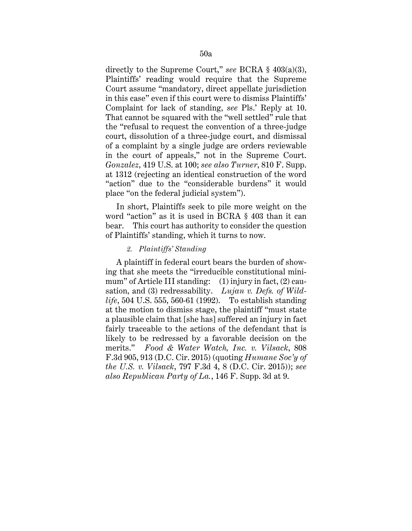directly to the Supreme Court," *see* BCRA § 403(a)(3), Plaintiffs' reading would require that the Supreme Court assume "mandatory, direct appellate jurisdiction in this case" even if this court were to dismiss Plaintiffs' Complaint for lack of standing, *see* Pls.' Reply at 10. That cannot be squared with the "well settled" rule that the "refusal to request the convention of a three-judge court, dissolution of a three-judge court, and dismissal of a complaint by a single judge are orders reviewable in the court of appeals," not in the Supreme Court. *Gonzalez*, 419 U.S. at 100; *see also Turner*, 810 F. Supp. at 1312 (rejecting an identical construction of the word "action" due to the "considerable burdens" it would place "on the federal judicial system").

In short, Plaintiffs seek to pile more weight on the word "action" as it is used in BCRA § 403 than it can bear. This court has authority to consider the question of Plaintiffs' standing, which it turns to now.

### *2. Plaintiffs' Standing*

A plaintiff in federal court bears the burden of showing that she meets the "irreducible constitutional minimum" of Article III standing: (1) injury in fact, (2) causation, and (3) redressability. *Lujan v. Defs. of Wildlife*, 504 U.S. 555, 560-61 (1992). To establish standing at the motion to dismiss stage, the plaintiff "must state a plausible claim that [she has] suffered an injury in fact fairly traceable to the actions of the defendant that is likely to be redressed by a favorable decision on the merits." *Food & Water Watch, Inc. v. Vilsack*, 808 F.3d 905, 913 (D.C. Cir. 2015) (quoting *Humane Soc'y of the U.S. v. Vilsack*, 797 F.3d 4, 8 (D.C. Cir. 2015)); *see also Republican Party of La.*, 146 F. Supp. 3d at 9.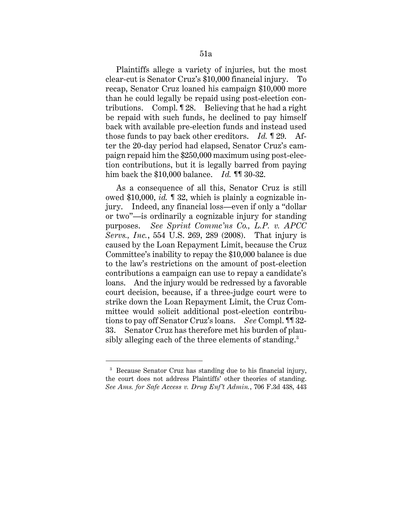Plaintiffs allege a variety of injuries, but the most clear-cut is Senator Cruz's \$10,000 financial injury. recap, Senator Cruz loaned his campaign \$10,000 more than he could legally be repaid using post-election contributions. Compl. ¶ 28. Believing that he had a right be repaid with such funds, he declined to pay himself back with available pre-election funds and instead used those funds to pay back other creditors. *Id.* ¶ 29. After the 20-day period had elapsed, Senator Cruz's campaign repaid him the \$250,000 maximum using post-election contributions, but it is legally barred from paying him back the \$10,000 balance. *Id.* ¶¶ 30-32.

As a consequence of all this, Senator Cruz is still owed \$10,000, *id.* ¶ 32, which is plainly a cognizable injury. Indeed, any financial loss—even if only a "dollar or two"—is ordinarily a cognizable injury for standing purposes. *See Sprint Commc'ns Co., L.P. v. APCC Servs., Inc.*, 554 U.S. 269, 289 (2008). That injury is caused by the Loan Repayment Limit, because the Cruz Committee's inability to repay the \$10,000 balance is due to the law's restrictions on the amount of post-election contributions a campaign can use to repay a candidate's loans. And the injury would be redressed by a favorable court decision, because, if a three-judge court were to strike down the Loan Repayment Limit, the Cruz Committee would solicit additional post-election contributions to pay off Senator Cruz's loans. *See* Compl. ¶¶ 32- 33. Senator Cruz has therefore met his burden of plausibly alleging each of the three elements of standing.<sup>3</sup>

<sup>&</sup>lt;sup>3</sup> Because Senator Cruz has standing due to his financial injury, the court does not address Plaintiffs' other theories of standing. *See Ams. for Safe Access v. Drug Enf't Admin.*, 706 F.3d 438, 443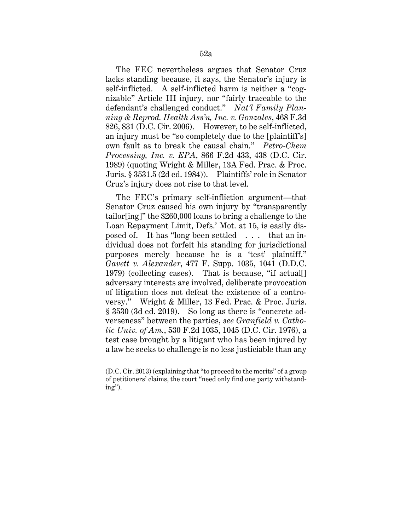The FEC nevertheless argues that Senator Cruz lacks standing because, it says, the Senator's injury is self-inflicted. A self-inflicted harm is neither a "cognizable" Article III injury, nor "fairly traceable to the defendant's challenged conduct." *Nat'l Family Planning & Reprod. Health Ass'n, Inc. v. Gonzales*, 468 F.3d 826, 831 (D.C. Cir. 2006). However, to be self-inflicted, an injury must be "so completely due to the [plaintiff's] own fault as to break the causal chain." *Petro-Chem Processing, Inc. v. EPA*, 866 F.2d 433, 438 (D.C. Cir. 1989) (quoting Wright & Miller, 13A Fed. Prac. & Proc. Juris. § 3531.5 (2d ed. 1984)). Plaintiffs' role in Senator Cruz's injury does not rise to that level.

The FEC's primary self-infliction argument—that Senator Cruz caused his own injury by "transparently tailor[ing]" the \$260,000 loans to bring a challenge to the Loan Repayment Limit, Defs.' Mot. at 15, is easily disposed of. It has "long been settled . . . that an individual does not forfeit his standing for jurisdictional purposes merely because he is a 'test' plaintiff." *Gavett v. Alexander*, 477 F. Supp. 1035, 1041 (D.D.C. 1979) (collecting cases). That is because, "if actual[] adversary interests are involved, deliberate provocation of litigation does not defeat the existence of a controversy." Wright & Miller, 13 Fed. Prac. & Proc. Juris. § 3530 (3d ed. 2019). So long as there is "concrete adverseness" between the parties, *see Granfield v. Catholic Univ. of Am.*, 530 F.2d 1035, 1045 (D.C. Cir. 1976), a test case brought by a litigant who has been injured by a law he seeks to challenge is no less justiciable than any

<sup>(</sup>D.C. Cir. 2013) (explaining that "to proceed to the merits" of a group of petitioners' claims, the court "need only find one party withstanding").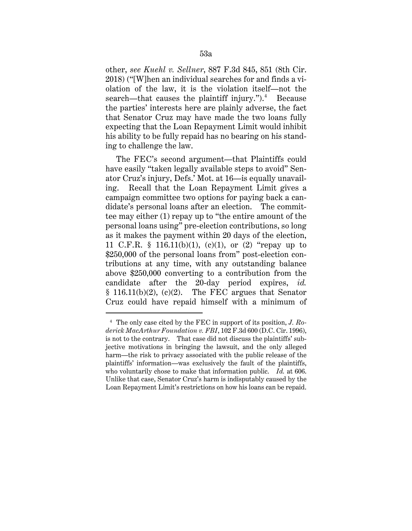other, *see Kuehl v. Sellner*, 887 F.3d 845, 851 (8th Cir. 2018) ("[W]hen an individual searches for and finds a violation of the law, it is the violation itself—not the search—that causes the plaintiff injury.").<sup>4</sup> Because the parties' interests here are plainly adverse, the fact that Senator Cruz may have made the two loans fully expecting that the Loan Repayment Limit would inhibit his ability to be fully repaid has no bearing on his standing to challenge the law.

The FEC's second argument—that Plaintiffs could have easily "taken legally available steps to avoid" Senator Cruz's injury, Defs.' Mot. at 16—is equally unavailing. Recall that the Loan Repayment Limit gives a campaign committee two options for paying back a candidate's personal loans after an election. The committee may either (1) repay up to "the entire amount of the personal loans using" pre-election contributions, so long as it makes the payment within 20 days of the election, 11 C.F.R. § 116.11(b)(1), (c)(1), or (2) "repay up to \$250,000 of the personal loans from" post-election contributions at any time, with any outstanding balance above \$250,000 converting to a contribution from the candidate after the 20-day period expires, *id.*   $§$  116.11(b)(2), (c)(2). The FEC argues that Senator Cruz could have repaid himself with a minimum of

<sup>4</sup> The only case cited by the FEC in support of its position, *J. Roderick MacArthur Foundation v. FBI*, 102 F.3d 600 (D.C. Cir. 1996), is not to the contrary. That case did not discuss the plaintiffs' subjective motivations in bringing the lawsuit, and the only alleged harm—the risk to privacy associated with the public release of the plaintiffs' information—was exclusively the fault of the plaintiffs, who voluntarily chose to make that information public. *Id.* at 606. Unlike that case, Senator Cruz's harm is indisputably caused by the Loan Repayment Limit's restrictions on how his loans can be repaid.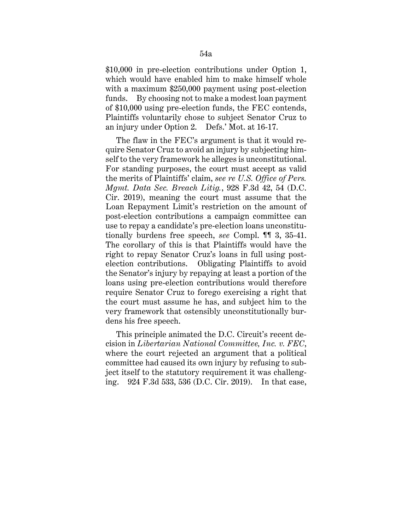\$10,000 in pre-election contributions under Option 1, which would have enabled him to make himself whole with a maximum \$250,000 payment using post-election funds. By choosing not to make a modest loan payment of \$10,000 using pre-election funds, the FEC contends, Plaintiffs voluntarily chose to subject Senator Cruz to an injury under Option 2. Defs.' Mot. at 16-17.

The flaw in the FEC's argument is that it would require Senator Cruz to avoid an injury by subjecting himself to the very framework he alleges is unconstitutional. For standing purposes, the court must accept as valid the merits of Plaintiffs' claim, *see re U.S. Office of Pers. Mgmt. Data Sec. Breach Litig.*, 928 F.3d 42, 54 (D.C. Cir. 2019), meaning the court must assume that the Loan Repayment Limit's restriction on the amount of post-election contributions a campaign committee can use to repay a candidate's pre-election loans unconstitutionally burdens free speech, *see* Compl. ¶¶ 3, 35-41. The corollary of this is that Plaintiffs would have the right to repay Senator Cruz's loans in full using postelection contributions. Obligating Plaintiffs to avoid the Senator's injury by repaying at least a portion of the loans using pre-election contributions would therefore require Senator Cruz to forego exercising a right that the court must assume he has, and subject him to the very framework that ostensibly unconstitutionally burdens his free speech.

This principle animated the D.C. Circuit's recent decision in *Libertarian National Committee, Inc. v. FEC*, where the court rejected an argument that a political committee had caused its own injury by refusing to subject itself to the statutory requirement it was challenging. 924 F.3d 533, 536 (D.C. Cir. 2019). In that case,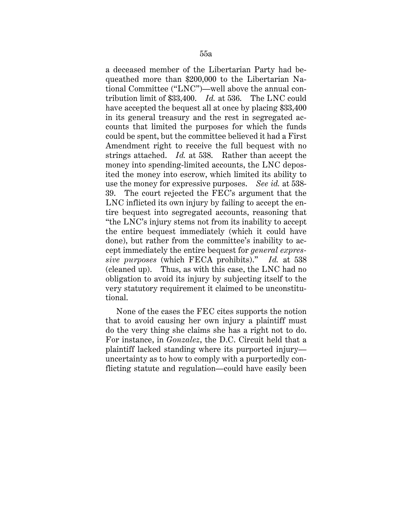a deceased member of the Libertarian Party had bequeathed more than \$200,000 to the Libertarian National Committee ("LNC")—well above the annual contribution limit of \$33,400. *Id.* at 536. The LNC could have accepted the bequest all at once by placing \$33,400 in its general treasury and the rest in segregated accounts that limited the purposes for which the funds could be spent, but the committee believed it had a First Amendment right to receive the full bequest with no strings attached. *Id.* at 538. Rather than accept the money into spending-limited accounts, the LNC deposited the money into escrow, which limited its ability to use the money for expressive purposes. *See id.* at 538- 39. The court rejected the FEC's argument that the LNC inflicted its own injury by failing to accept the entire bequest into segregated accounts, reasoning that "the LNC's injury stems not from its inability to accept the entire bequest immediately (which it could have done), but rather from the committee's inability to accept immediately the entire bequest for *general expressive purposes* (which FECA prohibits)." *Id.* at 538 (cleaned up). Thus, as with this case, the LNC had no obligation to avoid its injury by subjecting itself to the very statutory requirement it claimed to be unconstitutional.

None of the cases the FEC cites supports the notion that to avoid causing her own injury a plaintiff must do the very thing she claims she has a right not to do. For instance, in *Gonzalez*, the D.C. Circuit held that a plaintiff lacked standing where its purported injury uncertainty as to how to comply with a purportedly conflicting statute and regulation—could have easily been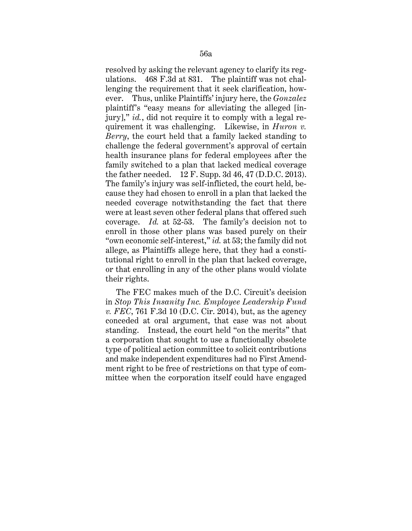resolved by asking the relevant agency to clarify its regulations. 468 F.3d at 831. The plaintiff was not challenging the requirement that it seek clarification, however. Thus, unlike Plaintiffs' injury here, the *Gonzalez*  plaintiff's "easy means for alleviating the alleged [injury]," *id.*, did not require it to comply with a legal requirement it was challenging. Likewise, in *Huron v. Berry*, the court held that a family lacked standing to challenge the federal government's approval of certain health insurance plans for federal employees after the family switched to a plan that lacked medical coverage the father needed. 12 F. Supp. 3d 46, 47 (D.D.C. 2013). The family's injury was self-inflicted, the court held, because they had chosen to enroll in a plan that lacked the needed coverage notwithstanding the fact that there were at least seven other federal plans that offered such coverage. *Id.* at 52-53. The family's decision not to enroll in those other plans was based purely on their "own economic self-interest," *id.* at 53; the family did not allege, as Plaintiffs allege here, that they had a constitutional right to enroll in the plan that lacked coverage, or that enrolling in any of the other plans would violate their rights.

The FEC makes much of the D.C. Circuit's decision in *Stop This Insanity Inc. Employee Leadership Fund v. FEC*, 761 F.3d 10 (D.C. Cir. 2014), but, as the agency conceded at oral argument, that case was not about standing. Instead, the court held "on the merits" that a corporation that sought to use a functionally obsolete type of political action committee to solicit contributions and make independent expenditures had no First Amendment right to be free of restrictions on that type of committee when the corporation itself could have engaged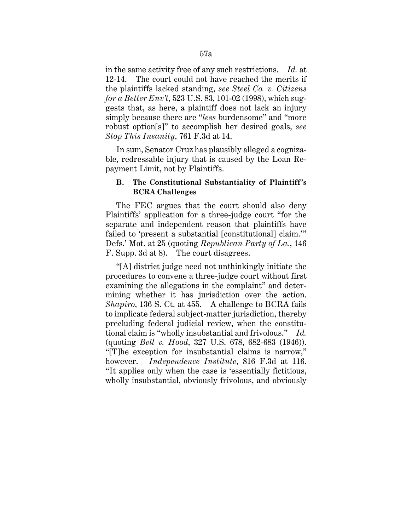in the same activity free of any such restrictions. *Id.* at 12-14. The court could not have reached the merits if the plaintiffs lacked standing, *see Steel Co. v. Citizens for a Better Env't*, 523 U.S. 83, 101-02 (1998), which suggests that, as here, a plaintiff does not lack an injury simply because there are "*less* burdensome" and "more robust option[s]" to accomplish her desired goals, *see Stop This Insanity*, 761 F.3d at 14.

In sum, Senator Cruz has plausibly alleged a cognizable, redressable injury that is caused by the Loan Repayment Limit, not by Plaintiffs.

## **B. The Constitutional Substantiality of Plaintiff's BCRA Challenges**

The FEC argues that the court should also deny Plaintiffs' application for a three-judge court "for the separate and independent reason that plaintiffs have failed to 'present a substantial [constitutional] claim.'" Defs.' Mot. at 25 (quoting *Republican Party of La.*, 146 F. Supp. 3d at 8). The court disagrees.

"[A] district judge need not unthinkingly initiate the procedures to convene a three-judge court without first examining the allegations in the complaint" and determining whether it has jurisdiction over the action. *Shapiro*, 136 S. Ct. at 455. A challenge to BCRA fails to implicate federal subject-matter jurisdiction, thereby precluding federal judicial review, when the constitutional claim is "wholly insubstantial and frivolous." *Id.*  (quoting *Bell v. Hood*, 327 U.S. 678, 682-683 (1946)). "[T]he exception for insubstantial claims is narrow," however. *Independence Institute*, 816 F.3d at 116. "It applies only when the case is 'essentially fictitious, wholly insubstantial, obviously frivolous, and obviously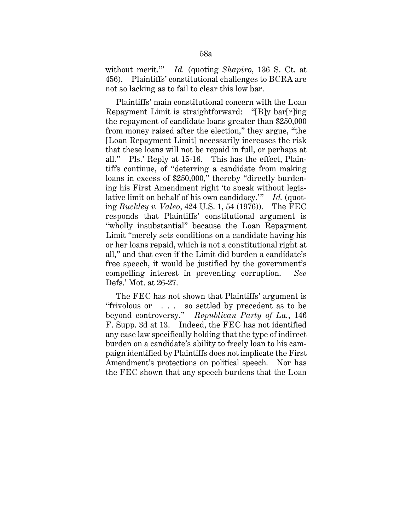without merit.'" *Id.* (quoting *Shapiro*, 136 S. Ct. at 456). Plaintiffs' constitutional challenges to BCRA are not so lacking as to fail to clear this low bar.

Plaintiffs' main constitutional concern with the Loan Repayment Limit is straightforward: "[B]y bar[r]ing the repayment of candidate loans greater than \$250,000 from money raised after the election," they argue, "the [Loan Repayment Limit] necessarily increases the risk that these loans will not be repaid in full, or perhaps at all." Pls.' Reply at 15-16. This has the effect, Plaintiffs continue, of "deterring a candidate from making loans in excess of \$250,000," thereby "directly burdening his First Amendment right 'to speak without legislative limit on behalf of his own candidacy.'" *Id.* (quoting *Buckley v. Valeo*, 424 U.S. 1, 54 (1976)). The FEC responds that Plaintiffs' constitutional argument is "wholly insubstantial" because the Loan Repayment Limit "merely sets conditions on a candidate having his or her loans repaid, which is not a constitutional right at all," and that even if the Limit did burden a candidate's free speech, it would be justified by the government's compelling interest in preventing corruption. *See*  Defs.' Mot. at 26-27.

The FEC has not shown that Plaintiffs' argument is "frivolous or . . . so settled by precedent as to be beyond controversy." *Republican Party of La.*, 146 F. Supp. 3d at 13. Indeed, the FEC has not identified any case law specifically holding that the type of indirect burden on a candidate's ability to freely loan to his campaign identified by Plaintiffs does not implicate the First Amendment's protections on political speech. Nor has the FEC shown that any speech burdens that the Loan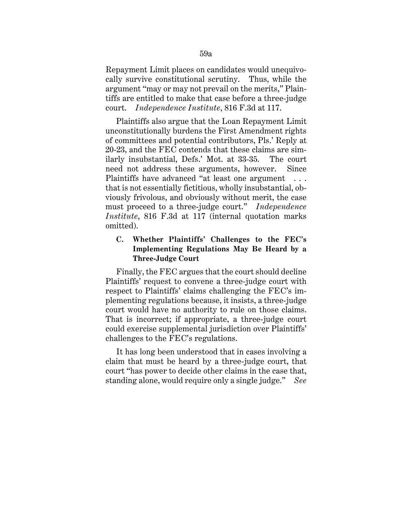Repayment Limit places on candidates would unequivocally survive constitutional scrutiny. Thus, while the argument "may or may not prevail on the merits," Plaintiffs are entitled to make that case before a three-judge court. *Independence Institute*, 816 F.3d at 117.

Plaintiffs also argue that the Loan Repayment Limit unconstitutionally burdens the First Amendment rights of committees and potential contributors, Pls.' Reply at 20-23, and the FEC contends that these claims are similarly insubstantial, Defs.' Mot. at 33-35. The court need not address these arguments, however. Since Plaintiffs have advanced "at least one argument . . . that is not essentially fictitious, wholly insubstantial, obviously frivolous, and obviously without merit, the case must proceed to a three-judge court." *Independence Institute*, 816 F.3d at 117 (internal quotation marks omitted).

# **C. Whether Plaintiffs' Challenges to the FEC's Implementing Regulations May Be Heard by a Three-Judge Court**

Finally, the FEC argues that the court should decline Plaintiffs' request to convene a three-judge court with respect to Plaintiffs' claims challenging the FEC's implementing regulations because, it insists, a three-judge court would have no authority to rule on those claims. That is incorrect; if appropriate, a three-judge court could exercise supplemental jurisdiction over Plaintiffs' challenges to the FEC's regulations.

It has long been understood that in cases involving a claim that must be heard by a three-judge court, that court "has power to decide other claims in the case that, standing alone, would require only a single judge." *See*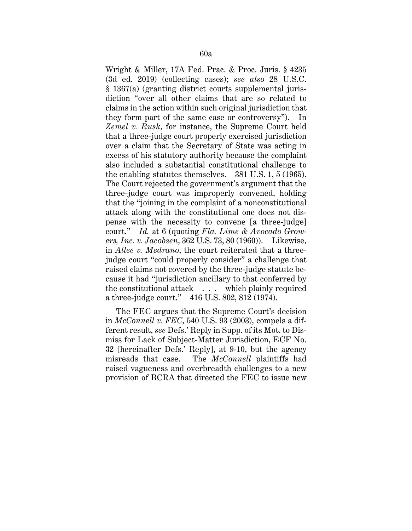Wright & Miller, 17A Fed. Prac. & Proc. Juris. § 4235 (3d ed. 2019) (collecting cases); *see also* 28 U.S.C. § 1367(a) (granting district courts supplemental jurisdiction "over all other claims that are so related to claims in the action within such original jurisdiction that they form part of the same case or controversy"). In *Zemel v. Rusk*, for instance, the Supreme Court held that a three-judge court properly exercised jurisdiction over a claim that the Secretary of State was acting in excess of his statutory authority because the complaint also included a substantial constitutional challenge to the enabling statutes themselves. 381 U.S. 1, 5 (1965). The Court rejected the government's argument that the three-judge court was improperly convened, holding that the "joining in the complaint of a nonconstitutional attack along with the constitutional one does not dispense with the necessity to convene [a three-judge] court." *Id.* at 6 (quoting *Fla. Lime & Avocado Growers, Inc. v. Jacobsen*, 362 U.S. 73, 80 (1960)). Likewise, in *Allee v. Medrano*, the court reiterated that a threejudge court "could properly consider" a challenge that raised claims not covered by the three-judge statute because it had "jurisdiction ancillary to that conferred by the constitutional attack . . . which plainly required a three-judge court." 416 U.S. 802, 812 (1974).

The FEC argues that the Supreme Court's decision in *McConnell v. FEC*, 540 U.S. 93 (2003), compels a different result, *see* Defs.' Reply in Supp. of its Mot. to Dismiss for Lack of Subject-Matter Jurisdiction, ECF No. 32 [hereinafter Defs.' Reply], at 9-10, but the agency misreads that case. The *McConnell* plaintiffs had raised vagueness and overbreadth challenges to a new provision of BCRA that directed the FEC to issue new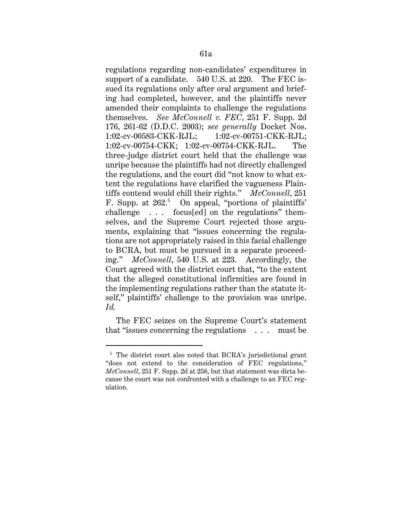regulations regarding non-candidates' expenditures in support of a candidate. 540 U.S. at 220. The FEC issued its regulations only after oral argument and briefing had completed, however, and the plaintiffs never amended their complaints to challenge the regulations themselves. *See McConnell v. FEC*, 251 F. Supp. 2d 176, 261-62 (D.D.C. 2003); *see generally* Docket Nos. 1:02-cv-00583-CKK-RJL; 1:02-cv-00751-CKK-RJL; 1:02-cv-00754-CKK; 1:02-cv-00754-CKK-RJL. The three-judge district court held that the challenge was unripe because the plaintiffs had not directly challenged the regulations, and the court did "not know to what extent the regulations have clarified the vagueness Plaintiffs contend would chill their rights." *McConnell*, 251 F. Supp. at 262.<sup>5</sup> On appeal, "portions of plaintiffs" challenge . . . focus[ed] on the regulations" themselves, and the Supreme Court rejected those arguments, explaining that "issues concerning the regulations are not appropriately raised in this facial challenge to BCRA, but must be pursued in a separate proceeding." *McConnell*, 540 U.S. at 223. Accordingly, the Court agreed with the district court that, "to the extent that the alleged constitutional infirmities are found in the implementing regulations rather than the statute itself," plaintiffs' challenge to the provision was unripe. *Id.*

The FEC seizes on the Supreme Court's statement that "issues concerning the regulations . . . must be

<sup>&</sup>lt;sup>5</sup> The district court also noted that BCRA's jurisdictional grant "does not extend to the consideration of FEC regulations," *McConnell*, 251 F. Supp. 2d at 258, but that statement was dicta because the court was not confronted with a challenge to an FEC regulation.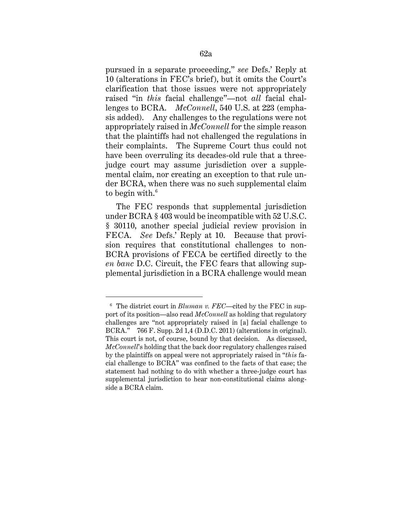pursued in a separate proceeding," *see* Defs.' Reply at 10 (alterations in FEC's brief), but it omits the Court's clarification that those issues were not appropriately raised "in *this* facial challenge"—not *all* facial challenges to BCRA. *McConnell*, 540 U.S. at 223 (emphasis added). Any challenges to the regulations were not appropriately raised in *McConnell* for the simple reason that the plaintiffs had not challenged the regulations in their complaints. The Supreme Court thus could not have been overruling its decades-old rule that a threejudge court may assume jurisdiction over a supplemental claim, nor creating an exception to that rule under BCRA, when there was no such supplemental claim to begin with.<sup>6</sup>

The FEC responds that supplemental jurisdiction under BCRA § 403 would be incompatible with 52 U.S.C. § 30110, another special judicial review provision in FECA. *See* Defs.' Reply at 10. Because that provision requires that constitutional challenges to non-BCRA provisions of FECA be certified directly to the *en banc* D.C. Circuit, the FEC fears that allowing supplemental jurisdiction in a BCRA challenge would mean

<sup>6</sup> The district court in *Bluman v. FEC*—cited by the FEC in support of its position—also read *McConnell* as holding that regulatory challenges are "not appropriately raised in [a] facial challenge to BCRA." 766 F. Supp. 2d 1,4 (D.D.C. 2011) (alterations in original). This court is not, of course, bound by that decision. As discussed, *McConnell*'s holding that the back door regulatory challenges raised by the plaintiffs on appeal were not appropriately raised in "*this* facial challenge to BCRA" was confined to the facts of that case; the statement had nothing to do with whether a three-judge court has supplemental jurisdiction to hear non-constitutional claims alongside a BCRA claim.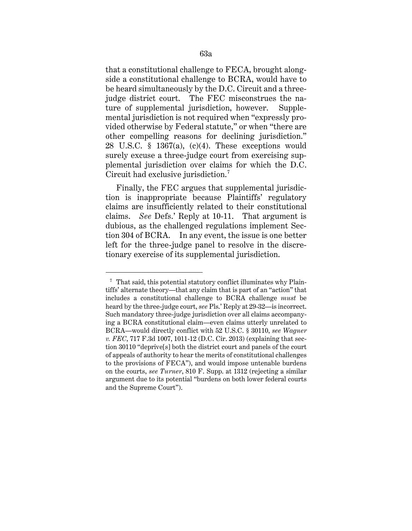that a constitutional challenge to FECA, brought alongside a constitutional challenge to BCRA, would have to be heard simultaneously by the D.C. Circuit and a threejudge district court. The FEC misconstrues the nature of supplemental jurisdiction, however. Supplemental jurisdiction is not required when "expressly provided otherwise by Federal statute," or when "there are other compelling reasons for declining jurisdiction." 28 U.S.C.  $\S$  1367(a), (c)(4). These exceptions would surely excuse a three-judge court from exercising supplemental jurisdiction over claims for which the D.C. Circuit had exclusive jurisdiction.<sup>7</sup>

Finally, the FEC argues that supplemental jurisdiction is inappropriate because Plaintiffs' regulatory claims are insufficiently related to their constitutional claims. *See* Defs.' Reply at 10-11. That argument is dubious, as the challenged regulations implement Section 304 of BCRA. In any event, the issue is one better left for the three-judge panel to resolve in the discretionary exercise of its supplemental jurisdiction.

<sup>&</sup>lt;sup>7</sup> That said, this potential statutory conflict illuminates why Plaintiffs' alternate theory—that any claim that is part of an "action" that includes a constitutional challenge to BCRA challenge *must* be heard by the three-judge court, *see* Pls.' Reply at 29-32—is incorrect. Such mandatory three-judge jurisdiction over all claims accompanying a BCRA constitutional claim—even claims utterly unrelated to BCRA—would directly conflict with 52 U.S.C. § 30110, *see Wagner v. FEC*, 717 F.3d 1007, 1011-12 (D.C. Cir. 2013) (explaining that section 30110 "deprive[s] both the district court and panels of the court of appeals of authority to hear the merits of constitutional challenges to the provisions of FECA"), and would impose untenable burdens on the courts, *see Turner*, 810 F. Supp. at 1312 (rejecting a similar argument due to its potential "burdens on both lower federal courts and the Supreme Court").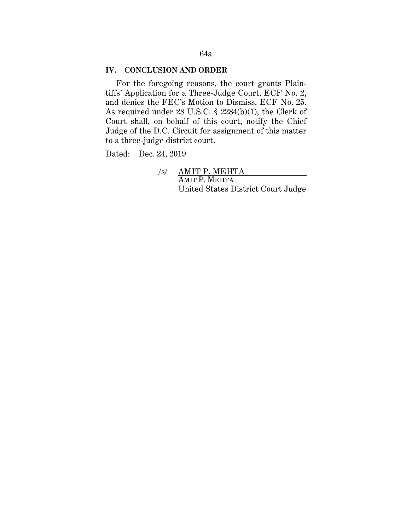# 64a

### **IV. CONCLUSION AND ORDER**

For the foregoing reasons, the court grants Plaintiffs' Application for a Three-Judge Court, ECF No. 2, and denies the FEC's Motion to Dismiss, ECF No. 25. As required under 28 U.S.C. § 2284(b)(1), the Clerk of Court shall, on behalf of this court, notify the Chief Judge of the D.C. Circuit for assignment of this matter to a three-judge district court.

Dated: Dec. 24, 2019

 /s/ AMIT P. MEHTA AMIT P. MEHTA United States District Court Judge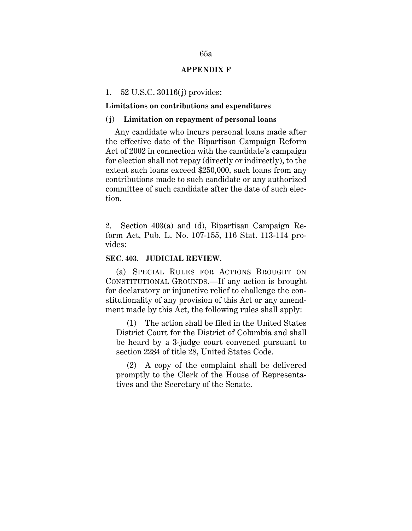### **APPENDIX F**

#### 1. 52 U.S.C. 30116(j) provides:

#### **Limitations on contributions and expenditures**

### **(j) Limitation on repayment of personal loans**

Any candidate who incurs personal loans made after the effective date of the Bipartisan Campaign Reform Act of 2002 in connection with the candidate's campaign for election shall not repay (directly or indirectly), to the extent such loans exceed \$250,000, such loans from any contributions made to such candidate or any authorized committee of such candidate after the date of such election.

2. Section 403(a) and (d), Bipartisan Campaign Reform Act, Pub. L. No. 107-155, 116 Stat. 113-114 provides:

### **SEC. 403. JUDICIAL REVIEW.**

(a) SPECIAL RULES FOR ACTIONS BROUGHT ON CONSTITUTIONAL GROUNDS.—If any action is brought for declaratory or injunctive relief to challenge the constitutionality of any provision of this Act or any amendment made by this Act, the following rules shall apply:

(1) The action shall be filed in the United States District Court for the District of Columbia and shall be heard by a 3-judge court convened pursuant to section 2284 of title 28, United States Code.

(2) A copy of the complaint shall be delivered promptly to the Clerk of the House of Representatives and the Secretary of the Senate.

### 65a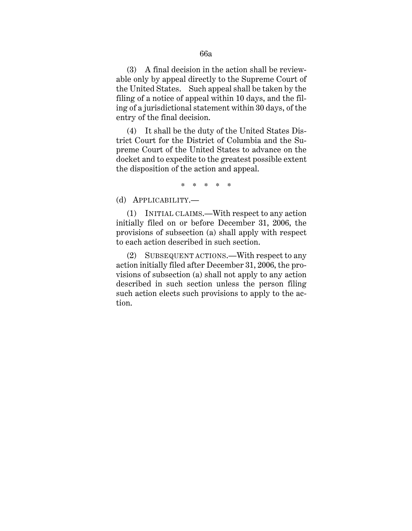(3) A final decision in the action shall be reviewable only by appeal directly to the Supreme Court of the United States. Such appeal shall be taken by the filing of a notice of appeal within 10 days, and the filing of a jurisdictional statement within 30 days, of the entry of the final decision.

(4) It shall be the duty of the United States District Court for the District of Columbia and the Supreme Court of the United States to advance on the docket and to expedite to the greatest possible extent the disposition of the action and appeal.

\* \* \* \* \*

(d) APPLICABILITY.—

(1) INITIAL CLAIMS.—With respect to any action initially filed on or before December 31, 2006, the provisions of subsection (a) shall apply with respect to each action described in such section.

(2) SUBSEQUENT ACTIONS.—With respect to any action initially filed after December 31, 2006, the provisions of subsection (a) shall not apply to any action described in such section unless the person filing such action elects such provisions to apply to the action.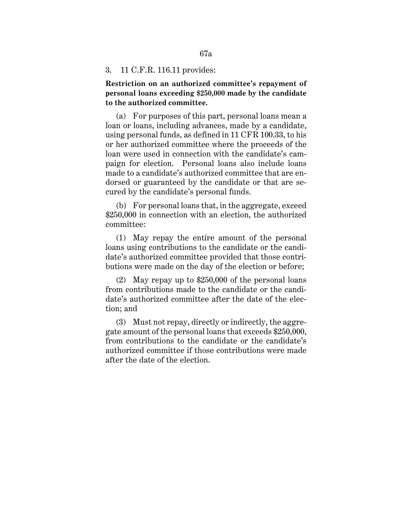#### 3. 11 C.F.R. 116.11 provides:

**Restriction on an authorized committee's repayment of personal loans exceeding \$250,000 made by the candidate to the authorized committee.**

(a) For purposes of this part, personal loans mean a loan or loans, including advances, made by a candidate, using personal funds, as defined in 11 CFR 100.33, to his or her authorized committee where the proceeds of the loan were used in connection with the candidate's campaign for election. Personal loans also include loans made to a candidate's authorized committee that are endorsed or guaranteed by the candidate or that are secured by the candidate's personal funds.

(b) For personal loans that, in the aggregate, exceed \$250,000 in connection with an election, the authorized committee:

(1) May repay the entire amount of the personal loans using contributions to the candidate or the candidate's authorized committee provided that those contributions were made on the day of the election or before;

(2) May repay up to \$250,000 of the personal loans from contributions made to the candidate or the candidate's authorized committee after the date of the election; and

(3) Must not repay, directly or indirectly, the aggregate amount of the personal loans that exceeds \$250,000, from contributions to the candidate or the candidate's authorized committee if those contributions were made after the date of the election.